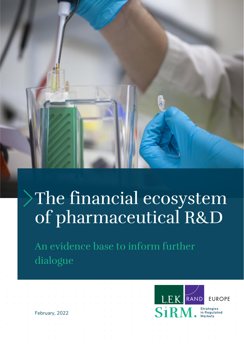

# The financial ecosystem of pharmaceutical R&D

An evidence base to inform further dialogue

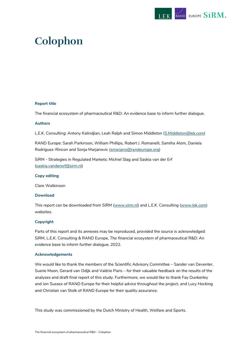

## **Colophon**

#### **Report title**

The financial ecosystem of pharmaceutical R&D: An evidence base to inform further dialogue.

### **Authors**

L.E.K. Consulting: Antony Kalindjian, Leah Ralph and Simon Middleton [\(S.Middleton@lek.com\)](mailto:S.Middleton@lek.com)

RAND Europe: Sarah Parkinson, William Phillips, Robert J. Romanelli, Samiha Alom, Daniela Rodriguez-Rincon and Sonja Marjanovic [\(smarjano@randeurope.org\)](mailto:smarjano@randeurope.org)

SiRM - Strategies in Regulated Markets: Michiel Slag and Saskia van der Erf [\(saskia.vandererf@sirm.nl\)](mailto:saskia.vandererf@sirm.nl)

### **Copy editing**

Clare Watkinson

#### **Download**

This report can be downloaded from SiRM [\(www.sirm.nl\)](http://www.sirm.nl/) and L.E.K. Consulting [\(www.lek.com\)](http://www.lek.com/) websites.

### **Copyright**

Parts of this report and its annexes may be reproduced, provided the source is acknowledged: SiRM, L.E.K. Consulting & RAND Europe, *The financial ecosystem of pharmaceutical R&D: An evidence base to inform further dialogue*, 2022.

#### **Acknowledgements**

We would like to thank the members of the Scientific Advisory Committee – Sander van Deventer, Suerie Moon, Gerard van Odijk and Valérie Paris – for their valuable feedback on the results of the analyses and draft final report of this study. Furthermore, we would like to thank Fay Dunkerley and Jon Sussex of RAND Europe for their helpful advice throughout the project, and Lucy Hocking and Christian van Stolk of RAND Europe for their quality assurance.

This study was commissioned by the Dutch Ministry of Health, Welfare and Sports.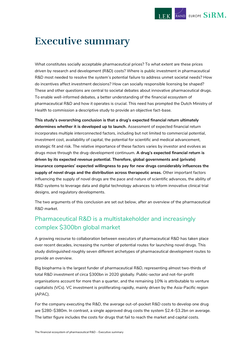

## <span id="page-2-0"></span>**Executive summary**

What constitutes socially acceptable pharmaceutical prices? To what extent are these prices driven by research and development (R&D) costs? Where is public investment in pharmaceutical R&D most needed to resolve the system's potential failure to address unmet societal needs? How do incentives affect investment decisions? How can socially responsible licensing be shaped? These and other questions are central to societal debates about innovative pharmaceutical drugs. To enable well-informed debates, a better understanding of the financial ecosystem of pharmaceutical R&D and how it operates is crucial. This need has prompted the Dutch Ministry of Health to commission a descriptive study to provide an objective fact-base.

**This study's overarching conclusion is that a drug's expected financial return ultimately determines whether it is developed up to launch.** Assessment of expected financial return incorporates multiple interconnected factors, including but not limited to commercial potential, investment cost, availability of capital, the potential for scientific and medical advancement, strategic fit and risk. The relative importance of these factors varies by investor and evolves as drugs move through the drug-development continuum. **A drug's expected financial return is driven by its expected revenue potential. Therefore, global governments and (private) insurance companies' expected willingness to pay for new drugs considerably influences the supply of novel drugs and the distribution across therapeutic areas.** Other important factors influencing the supply of novel drugs are the pace and nature of scientific advances, the ability of R&D systems to leverage data and digital technology advances to inform innovative clinical trial designs, and regulatory developments.

The two arguments of this conclusion are set out below, after an overview of the pharmaceutical R&D market.

## Pharmaceutical R&D is a multistakeholder and increasingly complex \$300bn global market

A growing recourse to collaboration between executors of pharmaceutical R&D has taken place over recent decades, increasing the number of potential routes for launching novel drugs. This study distinguished roughly seven different archetypes of pharmaceutical development routes to provide an overview.

Big biopharma is the largest funder of pharmaceutical R&D, representing almost two-thirds of total R&D investment of circa \$300bn in 2020 globally. Public-sector and not-for-profit organisations account for more than a quarter, and the remaining 10% is attributable to venture capitalists (VCs). VC investment is proliferating rapidly, mainly driven by the Asia-Pacific region (APAC).

For the company executing the R&D, the average out-of-pocket R&D costs to develop one drug are \$280–\$380m. In contrast, a single approved drug costs the system \$2.4–\$3.2bn on average. The latter figure includes the costs for drugs that fail to reach the market and capital costs.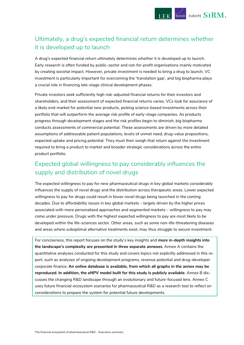

## Ultimately, a drug's expected financial return determines whether it is developed up to launch

A drug's expected financial return ultimately determines whether it is developed up to launch. Early research is often funded by public-sector and not-for-profit organisations mainly motivated by creating societal impact. However, private investment is needed to bring a drug to launch. VC investment is particularly important for overcoming the 'translation gap', and big biopharma plays a crucial role in financing late-stage clinical development phases.

Private investors seek sufficiently high risk-adjusted financial returns for their investors and shareholders, and their assessment of expected financial returns varies. VCs look for assurance of a likely end-market for potential new products, picking science-based investments across their portfolio that will outperform the average risk profile of early-stage companies. As products progress through development stages and the risk profiles begin to diminish, big biopharma conducts assessments of commercial potential. These assessments are driven by more detailed assumptions of addressable patient populations, levels of unmet need, drug-value propositions, expected uptake and pricing potential. They must then weigh that return against the investment required to bring a product to market and broader strategic considerations across the entire product portfolio.

## Expected global willingness to pay considerably influences the supply and distribution of novel drugs

The expected willingness to pay for new pharmaceutical drugs in key global markets considerably influences the supply of novel drugs and the distribution across therapeutic areas. Lower expected willingness to pay for drugs could result in fewer novel drugs being launched in the coming decades. Due to affordability issues in key global markets – largely driven by the higher prices associated with more personalised approaches and segmented markets – willingness to pay may come under pressure. Drugs with the highest expected willingness to pay are most likely to be developed within the life-sciences sector. Other areas, such as some non-life-threatening diseases and areas where suboptimal alternative treatments exist, may thus struggle to secure investment.

For conciseness, this report focuses on the study's key insights and **more in-depth insights into the landscape's complexity are presented in three separate annexes**. Annex A contains the quantitative analyses conducted for this study and covers topics not explicitly addressed in this report, such as analyses of ongoing development programs, revenue potential and drug-developer corporate finance. **An online database is available, from which all graphs in the annex may be reproduced**. **In addition, the eNPV model built for this study is publicly available**. Annex B discusses the changing R&D landscape through an evolutionary and future-focused lens. Annex C uses future financial-ecosystem scenarios for pharmaceutical R&D as a research tool to reflect on considerations to prepare the system for potential future developments.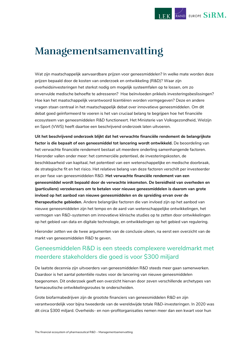

## <span id="page-4-0"></span>**Managementsamenvatting**

Wat zijn maatschappelijk aanvaardbare prijzen voor geneesmiddelen? In welke mate worden deze prijzen bepaald door de kosten van onderzoek en ontwikkeling (R&D)? Waar zijn overheidsinvesteringen het sterkst nodig om mogelijk systeemfalen op te lossen, om zo onvervulde medische behoefte te adresseren? Hoe beïnvloeden prikkels investeringsbeslissingen? Hoe kan het maatschappelijk verantwoord licentiëren worden vormgegeven? Deze en andere vragen staan centraal in het maatschappelijk debat over innovatieve geneesmiddelen. Om dit debat goed geïnformeerd te voeren is het van cruciaal belang te begrijpen hoe het financiële ecosysteem van geneesmiddelen R&D functioneert. Het Ministerie van Volksgezondheid, Welzijn en Sport (VWS) heeft daartoe een beschrijvend onderzoek laten uitvoeren.

**Uit het beschrijvend onderzoek blijkt dat het verwachte financiële rendement de belangrijkste factor is die bepaalt of een geneesmiddel tot lancering wordt ontwikkeld.** De beoordeling van het verwachte financiële rendement bestaat uit meerdere onderling samenhangende factoren. Hieronder vallen onder meer: het commerciële potentieel, de investeringskosten, de beschikbaarheid van kapitaal, het potentieel van een wetenschappelijke en medische doorbraak, de strategische fit en het risico. Het relatieve belang van deze factoren verschilt per investeerder en per fase van geneesmiddelen R&D. **Het verwachte financiële rendement van een geneesmiddel wordt bepaald door de verwachte inkomsten. De bereidheid van overheden en (particuliere) verzekeraars om te betalen voor nieuwe geneesmiddelen is daarom van grote invloed op het aanbod van nieuwe geneesmiddelen en de spreiding ervan over de therapeutische gebieden.** Andere belangrijke factoren die van invloed zijn op het aanbod van nieuwe geneesmiddelen zijn het tempo en de aard van wetenschappelijke ontwikkelingen, het vermogen van R&D-systemen om innovatieve klinische studies op te zetten door ontwikkelingen op het gebied van data en digitale technologie, en ontwikkelingen op het gebied van regulering.

Hieronder zetten we de twee argumenten van de conclusie uiteen, na eerst een overzicht van de markt van geneesmiddelen R&D te geven.

## Geneesmiddelen R&D is een steeds complexere wereldmarkt met meerdere stakeholders die goed is voor \$300 miljard

De laatste decennia zijn uitvoerders van geneesmiddelen R&D steeds meer gaan samenwerken. Daardoor is het aantal potentiële routes voor de lancering van nieuwe geneesmiddelen toegenomen. Dit onderzoek geeft een overzicht hiervan door zeven verschillende archetypes van farmaceutische ontwikkelingsroutes te onderscheiden.

Grote biofarmabedrijven zijn de grootste financiers van geneesmiddelen R&D en zijn verantwoordelijk voor bijna tweederde van de wereldwijde totale R&D-investeringen. In 2020 was dit circa \$300 miljard. Overheids- en non-profitorganisaties nemen meer dan een kwart voor hun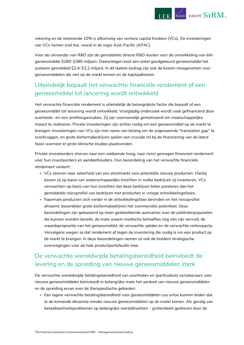

rekening en de resterende 10% is afkomstig van venture capital fondsen (VCs). De investeringen van VCs nemen snel toe, vooral in de regio Azië-Pacific (APAC).

Voor de uitvoerder van R&D zijn de gemiddelde directe R&D-kosten voor de ontwikkeling van één geneesmiddel \$280-\$380 miljoen. Daarentegen kost een enkel goedgekeurd geneesmiddel het systeem gemiddeld \$2,4-\$3,2 miljard. In dit laatste bedrag zijn ook de kosten meegenomen voor geneesmiddelen die niet op de markt komen en de kapitaalkosten.

## Uiteindelijk bepaalt het verwachte financiële rendement of een geneesmiddel tot lancering wordt ontwikkeld

Het verwachte financiële rendement is uiteindelijk de belangrijkste factor die bepaalt of een geneesmiddel tot lancering wordt ontwikkeld. Vroegtijdig onderzoek wordt vaak gefinancierd door overheids- en non-profitorganisaties. Zij zijn voornamelijk gemotiveerd om maatschappelijke impact te realiseren. Private investeringen zijn echter nodig om een geneesmiddel op de markt te brengen. Investeringen van VCs zijn met name van belang om de zogenaamde "translation gap" te overbruggen, en grote biofarmabedrijven spelen een cruciale rol bij de financiering van de latere fases wanneer er grote klinische studies plaatsvinden.

Private investeerders streven naar een voldoende hoog, naar risico gewogen financieel rendement voor hun investeerders en aandeelhouders. Hun beoordeling van het verwachte financiële rendement varieert:

- VCs streven naar zekerheid van een afzetmarkt voor potentiële nieuwe producten. Hierbij kiezen zij op basis van wetenschappelijke inzichten in welke bedrijven zij investeren. VCs verwachten op basis van hun inzichten dat deze bedrijven beter presteren dan het gemiddelde risicoprofiel van bedrijven met producten in vroege ontwikkelingsfases.
- Naarmate producten zich verder in de ontwikkelingsfase bevinden en het risicoprofiel afneemt, beoordelen grote biofarmabedrijven het commerciële potentieel. Deze beoordelingen zijn gebaseerd op meer gedetailleerde aannames over de patiëntenpopulaties die kunnen worden bereikt, de mate waarin medische behoeftes nog niet zijn vervuld, de waardepropositie van het geneesmiddel, de verwachte uptake en de verwachte verkoopprijs. Vervolgens wegen ze dat rendement af tegen de investering die nodig is om een product op de markt te brengen. In deze beoordelingen nemen ze ook de bredere strategische overwegingen voor de hele productportefeuille mee.

## De verwachte wereldwijde betalingsbereidheid beïnvloedt de levering en de spreiding van nieuwe geneesmiddelen sterk

De verwachte wereldwijde betalingsbereidheid van overheden en (particuliere) verzekeraars voor nieuwe geneesmiddelen beïnvloedt in belangrijke mate het aanbod van nieuwe geneesmiddelen en de spreiding ervan over de therapeutische gebieden:

• Een lagere verwachte betalingsbereidheid voor geneesmiddelen zou ertoe kunnen leiden dat er de komende decennia minder nieuwe geneesmiddelen op de markt komen. Als gevolg van betaalbaarheidsproblemen op belangrijke wereldmarkten - grotendeels gedreven door de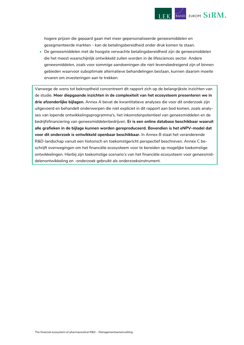

hogere prijzen die gepaard gaan met meer gepersonaliseerde geneesmiddelen en gesegmenteerde markten - kan de betalingsbereidheid onder druk komen te staan.

• De geneesmiddelen met de hoogste verwachte betalingsbereidheid zijn de geneesmiddelen die het meest waarschijnlijk ontwikkeld zullen worden in de lifesciences sector. Andere geneesmiddelen, zoals voor sommige aandoeningen die niet-levensbedreigend zijn of binnen gebieden waarvoor suboptimale alternatieve behandelingen bestaan, kunnen daarom moeite ervaren om investeringen aan te trekken.

Vanwege de wens tot beknoptheid concentreert dit rapport zich op de belangrijkste inzichten van de studie. **Meer diepgaande inzichten in de complexiteit van het ecosysteem presenteren we in drie afzonderlijke bijlagen.** Annex A bevat de kwantitatieve analyses die voor dit onderzoek zijn uitgevoerd en behandelt onderwerpen die niet expliciet in dit rapport aan bod komen, zoals analyses van lopende ontwikkelingsprogramma's, het inkomstenpotentieel van geneesmiddelen en de bedrijfsfinanciering van geneesmiddelenbedrijven. **Er is een online database beschikbaar waaruit alle grafieken in de bijlage kunnen worden gereproduceerd. Bovendien is het eNPV-model dat voor dit onderzoek is ontwikkeld openbaar beschikbaar.** In Annex B staat het veranderende R&D-landschap vanuit een historisch en toekomstgericht perspectief beschreven. Annex C beschrijft overwegingen om het financiële ecosysteem voor te bereiden op mogelijke toekomstige ontwikkelingen. Hierbij zijn toekomstige scenario's van het financiële ecosysteem voor geneesmiddelenontwikkeling en -onderzoek gebruikt als onderzoeksinstrument.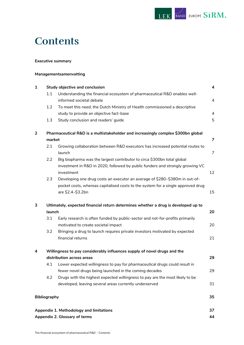

## **Contents**

### **[Executive summary](#page-2-0)**

### **[Managementsamenvatting](#page-4-0)**

| $\mathbf{1}$   | <b>Study objective and conclusion</b> |                                                                                                       |                          |  |  |  |  |  |
|----------------|---------------------------------------|-------------------------------------------------------------------------------------------------------|--------------------------|--|--|--|--|--|
|                | 1.1                                   | Understanding the financial ecosystem of pharmaceutical R&D enables well-<br>informed societal debate | $\overline{\mathcal{A}}$ |  |  |  |  |  |
|                | 1.2                                   | To meet this need, the Dutch Ministry of Health commissioned a descriptive                            |                          |  |  |  |  |  |
|                |                                       | study to provide an objective fact-base                                                               | $\overline{4}$           |  |  |  |  |  |
|                | 1.3                                   | Study conclusion and readers' guide                                                                   | 5                        |  |  |  |  |  |
| $\overline{2}$ |                                       | Pharmaceutical R&D is a multistakeholder and increasingly complex \$300bn global                      |                          |  |  |  |  |  |
|                | market                                |                                                                                                       | $\overline{\mathbf{z}}$  |  |  |  |  |  |
|                | 2.1                                   | Growing collaboration between R&D executors has increased potential routes to<br>launch               | 7                        |  |  |  |  |  |
|                | 2.2                                   | Big biopharma was the largest contributor to circa \$300bn total global                               |                          |  |  |  |  |  |
|                |                                       | investment in R&D in 2020, followed by public funders and strongly growing VC<br>investment           | 12                       |  |  |  |  |  |
|                | 2.3                                   | Developing one drug costs an executor an average of \$280-\$380m in out-of-                           |                          |  |  |  |  |  |
|                |                                       | pocket costs, whereas capitalised costs to the system for a single approved drug<br>are \$2.4-\$3.2bn | 15                       |  |  |  |  |  |
| 3              |                                       | Ultimately, expected financial return determines whether a drug is developed up to                    |                          |  |  |  |  |  |
|                | launch                                |                                                                                                       | 20                       |  |  |  |  |  |
|                | 3.1                                   | Early research is often funded by public-sector and not-for-profits primarily                         |                          |  |  |  |  |  |
|                |                                       | motivated to create societal impact                                                                   | 20                       |  |  |  |  |  |
|                | 3.2                                   | Bringing a drug to launch requires private investors motivated by expected<br>financial returns       | 21                       |  |  |  |  |  |
| 4              |                                       | Willingness to pay considerably influences supply of novel drugs and the                              |                          |  |  |  |  |  |
|                |                                       | distribution across areas                                                                             | 29                       |  |  |  |  |  |
|                | 4.1                                   | Lower expected willingness to pay for pharmaceutical drugs could result in                            |                          |  |  |  |  |  |
|                |                                       | fewer novel drugs being launched in the coming decades                                                | 29                       |  |  |  |  |  |
|                | 4.2                                   | Drugs with the highest expected willingness to pay are the most likely to be                          |                          |  |  |  |  |  |
|                |                                       | developed, leaving several areas currently underserved                                                | 31                       |  |  |  |  |  |
|                | <b>Bibliography</b>                   |                                                                                                       | 35                       |  |  |  |  |  |
|                |                                       | Appendix 1. Methodology and limitations                                                               | 37                       |  |  |  |  |  |
|                |                                       | Appendix 2. Glossary of terms                                                                         | 44                       |  |  |  |  |  |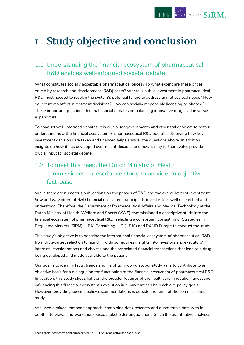

## <span id="page-8-0"></span>**1 Study objective and conclusion**

## <span id="page-8-1"></span>1.1 Understanding the financial ecosystem of pharmaceutical R&D enables well-informed societal debate

What constitutes socially acceptable pharmaceutical prices? To what extent are these prices driven by research and development (R&D) costs? Where is public investment in pharmaceutical R&D most needed to resolve the system's potential failure to address unmet societal needs? How do incentives affect investment decisions? How can socially responsible licensing be shaped? These important questions dominate social debates on balancing innovative drugs' value versus expenditure.

To conduct well-informed debates, it is crucial for governments and other stakeholders to better understand how the financial ecosystem of pharmaceutical R&D operates. Knowing how key investment decisions are taken and financed helps answer the questions above. In addition, insights on how it has developed over recent decades and how it may further evolve provide crucial input for societal debate.

## <span id="page-8-2"></span>1.2 To meet this need, the Dutch Ministry of Health commissioned a descriptive study to provide an objective fact-base

While there are numerous publications on the phases of R&D and the overall level of investment, *how* and *why* different R&D financial ecosystem participants invest is less well researched and understood. Therefore, the Department of Pharmaceutical Affairs and Medical Technology at the Dutch Ministry of Health, Welfare and Sports (VWS) commissioned a descriptive study into the financial ecosystem of pharmaceutical R&D, selecting a consortium consisting of Strategies in Regulated Markets (SiRM), L.E.K. Consulting LLP (L.E.K.) and RAND Europe to conduct the study.

This study's objective is to describe the international financial ecosystem of pharmaceutical R&D from drug-target selection to launch. To do so requires insights into investors and executors' interests, considerations and choices and the associated financial transactions that lead to a drug being developed and made available to the patient.

Our goal is to identify facts, trends and insights. In doing so, our study aims to contribute to an objective basis for a dialogue on the functioning of the financial ecosystem of pharmaceutical R&D. In addition, this study sheds light on the broader features of the healthcare innovation landscape influencing this financial ecosystem's evolution in a way that can help achieve policy goals. However, providing specific policy recommendations is outside the remit of the commissioned study.

We used a mixed-methods approach, combining desk research and quantitative data with indepth interviews and workshop-based stakeholder engagement. Since the quantitative analyses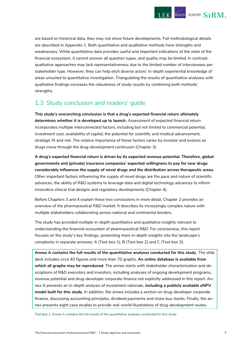

are based on historical data, they may not show future developments. Full methodological details are described in Appendix 1. Both quantitative and qualitative methods have strengths and weaknesses. While quantitative data provides useful and important indications of the state of the financial ecosystem, it cannot answer all question types, and quality may be limited. In contrast, qualitative approaches may lack representativeness due to the limited number of interviewees per stakeholder type. However, they can help elicit diverse actors' in-depth experiential knowledge of areas unsuited to quantitative investigation. Triangulating the results of quantitative analyses with qualitative findings increases the robustness of study results by combining both methods' strengths.

## <span id="page-9-0"></span>1.3 Study conclusion and readers' guide

**This study's overarching conclusion is that a drug's expected financial return ultimately determines whether it is developed up to launch.** Assessment of expected financial return incorporates multiple interconnected factors, including but not limited to commercial potential, investment cost, availability of capital, the potential for scientific and medical advancement, strategic fit and risk. The relative importance of these factors varies by investor and evolves as drugs move through the drug-development continuum (Chapter 3).

**A drug's expected financial return is driven by its expected revenue potential. Therefore, global governments and (private) insurance companies' expected willingness to pay for new drugs considerably influences the supply of novel drugs and the distribution across therapeutic areas.**  Other important factors influencing the supply of novel drugs are the pace and nature of scientific advances, the ability of R&D systems to leverage data and digital technology advances to inform innovative clinical trial designs and regulatory developments (Chapter 4)**.**

Before Chapters 3 and 4 explain these two conclusions in more detail, Chapter 2 provides an overview of the pharmaceutical R&D market. It describes its increasingly complex nature with multiple stakeholders collaborating across national and continental borders.

The study has provided multiple in-depth quantitative and qualitative insights relevant to understanding the financial ecosystem of pharmaceutical R&D. For conciseness, this report focuses on the study's key findings, presenting more in-depth insights into the landscape's complexity in separate annexes: A [\(Text box 1\)](#page-9-1), B [\(Text box 2\)](#page-10-0) and C [\(Text box 3\)](#page-10-1).

**Annex A contains the full results of the quantitative analyses conducted for this study**. The slide deck includes circa 40 figures and more than 70 graphs. **An online database is available from which all graphs may be reproduced**. The annex starts with stakeholder characterisation and descriptions of R&D executors and investors, including analyses of ongoing development programs, revenue potential and drug-developer corporate finance not explicitly addressed in this report. Annex A presents an in-depth analysis of investment rationale, **including a publicly available eNPV model built for this study**. In addition, the annex includes a section on drug-developer corporate finance, discussing accounting principles, dividend payments and share buy-backs. Finally, the annex presents eight case studies to provide real-world illustrations of drug-development routes.

<span id="page-9-1"></span>Text box 1. Annex A contains the full results of the quantitative analyses conducted for this study.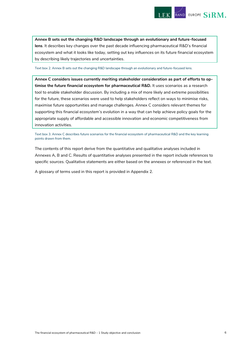

**Annex B sets out the changing R&D landscape through an evolutionary and future-focused lens**. It describes key changes over the past decade influencing pharmaceutical R&D's financial ecosystem and what it looks like today, setting out key influences on its future financial ecosystem by describing likely trajectories and uncertainties.

<span id="page-10-0"></span>Text box 2. Annex B sets out the changing R&D landscape through an evolutionary and future-focused lens.

**Annex C considers issues currently meriting stakeholder consideration as part of efforts to optimise the future financial ecosystem for pharmaceutical R&D.** It uses scenarios as a research tool to enable stakeholder discussion. By including a mix of more likely and extreme possibilities for the future, these scenarios were used to help stakeholders reflect on ways to minimise risks, maximise future opportunities and manage challenges. Annex C considers relevant themes for supporting this financial ecosystem's evolution in a way that can help achieve policy goals for the appropriate supply of affordable and accessible innovation and economic competitiveness from innovation activities.

<span id="page-10-1"></span>Text box 3. Annex C describes future scenarios for the financial ecosystem of pharmaceutical R&D and the key learning points drawn from them.

The contents of this report derive from the quantitative and qualitative analyses included in Annexes A, B and C. Results of quantitative analyses presented in the report include references to specific sources. Qualitative statements are either based on the annexes or referenced in the text.

A glossary of terms used in this report is provided in Appendix 2.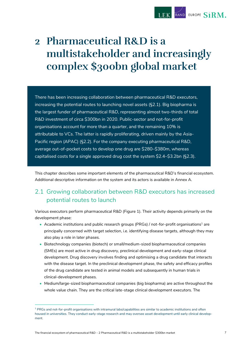

## <span id="page-11-0"></span>**2 Pharmaceutical R&D is a multistakeholder and increasingly complex \$300bn global market**

There has been increasing collaboration between pharmaceutical R&D executors, increasing the potential routes to launching novel assets (§2.1). Big biopharma is the largest funder of pharmaceutical R&D, representing almost two-thirds of total R&D investment of circa \$300bn in 2020. Public-sector and not-for-profit organisations account for more than a quarter, and the remaining 10% is attributable to VCs. The latter is rapidly proliferating, driven mainly by the Asia-Pacific region (APAC) (§2.2). For the company executing pharmaceutical R&D, average out-of-pocket costs to develop one drug are \$280–\$380m, whereas capitalised costs for a single approved drug cost the system \$2.4–\$3.2bn (§2.3).

This chapter describes some important elements of the pharmaceutical R&D's financial ecosystem. Additional descriptive information on the system and its actors is available in Annex A.

## <span id="page-11-1"></span>2.1 Growing collaboration between R&D executors has increased potential routes to launch

Various executors perform pharmaceutical R&D [\(Figure 1\)](#page-12-0). Their activity depends primarily on the development phase:

- Academic institutions and public research groups (PRGs) / not-for-profit organisations<sup>1</sup> are principally concerned with target selection, i.e. identifying disease targets, although they may also play a role in later phases.
- Biotechnology companies (biotech) or small/medium-sized biopharmaceutical companies (SMEs) are most active in drug discovery, preclinical development and early-stage clinical development. Drug discovery involves finding and optimising a drug candidate that interacts with the disease target. In the preclinical development phase, the safety and efficacy profiles of the drug candidate are tested in animal models and subsequently in human trials in clinical-development phases.
- Medium/large-sized biopharmaceutical companies (big biopharma) are active throughout the whole value chain. They are the critical late-stage clinical development executors. The

 $1$  PRGs and not-for-profit organisations with intramural labs/capabilities are similar to academic institutions and often housed in universities. They conduct early-stage research and may oversee asset development until early clinical development.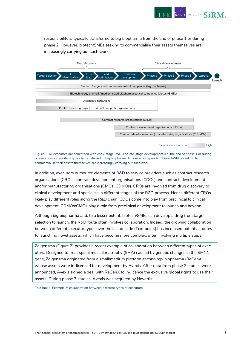

responsibility is typically transferred to big biopharma from the end of phase 1 or during phase 2. However, biotech/SMEs seeking to commercialise their assets themselves are increasingly carrying out such work.

|                  | Drug discovery                                                                   |                                        |         | Clinical development                                             |          |        |
|------------------|----------------------------------------------------------------------------------|----------------------------------------|---------|------------------------------------------------------------------|----------|--------|
| Target selection | Hit-to-<br><b>Hit</b><br>Lead<br>identification<br>optimisation<br>lead          | Preclinical<br>development             | Phase 1 | Phase 3<br>Phase 2                                               | Approval | Launch |
|                  | Medium / large sized biopharmaceutical companies (big biopharma)                 |                                        |         |                                                                  |          |        |
|                  | Biotechnology or small / medium sized biopharmaceutical companies (biotech/SMEs) |                                        |         |                                                                  |          |        |
|                  | Academic institutions                                                            |                                        |         |                                                                  |          |        |
|                  | Public research groups (PRGs) / not-for-profit organisations                     |                                        |         |                                                                  |          |        |
|                  |                                                                                  |                                        |         |                                                                  |          |        |
|                  |                                                                                  | Contract research organisations (CROs) |         |                                                                  |          |        |
|                  |                                                                                  |                                        |         | Contract development organisations (CDOs)                        |          |        |
|                  |                                                                                  |                                        |         | Contract (development and) manufacturing organisations (C(D)MOs) |          |        |
|                  |                                                                                  |                                        |         | Focus of execution: Low                                          | High     |        |

<span id="page-12-0"></span>Figure 1. All executors are concerned with early-stage R&D. For late-stage development (i.e. the end of phase 1 or during phase 2) responsibility is typically transferred to big biopharma. However, independent biotech/SMEs seeking to commercialise their assets themselves are increasingly carrying out such work.

In addition, executors outsource elements of R&D to service providers such as contract research organisations (CROs), contract development organisations (CDOs) and contract-development and/or manufacturing organisations (CMOs, CDMOs). CROs are involved from drug discovery to clinical development and specialise in different stages of the R&D process. Hence different CROs likely play different roles along the R&D chain. CDOs come into play from preclinical to clinical development. CDMOs/CMOs play a role from preclinical development to launch and beyond.

Although big biopharma and, to a lesser extent, biotech/SMEs can develop a drug from target selection to launch, the R&D route often involves collaboration. Indeed, the growing collaboration between different executor types over the last decade [\(Text box 4\)](#page-12-1) has increased potential routes to launching novel assets, which have become more complex, often involving multiple steps.

Zolgensma (Figure 2) provides a recent example of collaboration between different types of executors. Designed to treat spinal muscular atrophy (SMA) caused by genetic changes in the SMN1 gene, Zolgensma originated from a small/medium platform-technology biopharma (ReGenX) whose assets were in-licensed for development by Avexis. After data from phase 2 studies were announced, Avexis signed a deal with ReGenX to in-licence the exclusive global rights to use their assets. During phase 3 studies, Avexis was acquired by Novartis.

<span id="page-12-1"></span>Text box 4. Example of collaboration between different types of executors.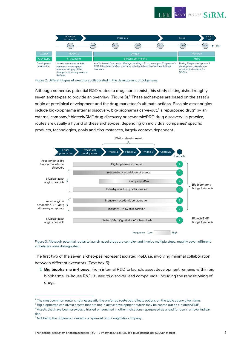



Figure 2. Different types of executors collaborated in the development of Zolgensma.

Although numerous potential R&D routes to drug launch exist, this study distinguished roughly seven archetypes to provide an overview [\(Figure 3\)](#page-13-0).<sup>2</sup> These archetypes are based on the asset's origin at preclinical development and the drug marketeer's ultimate actions. Possible asset origins include big-biopharma internal discovery, big-biopharma carve-out,<sup>3</sup> a repurposed drug<sup>4</sup> by an external company,<sup>5</sup> biotech/SME drug discovery or academic/PRG drug discovery. In practice, routes are usually a hybrid of these archetypes, depending on individual companies' specific products, technologies, goals and circumstances, largely context-dependent.



<span id="page-13-0"></span>Figure 3. Although potential routes to launch novel drugs are complex and involve multiple steps, roughly seven different archetypes were distinguished.

The first two of the seven archetypes represent isolated R&D, i.e. involving minimal collaboration between different executors [\(Text box 5\)](#page-14-0):

1 **Big biopharma in-house**: From internal R&D to launch, asset development remains within big biopharma. In-house R&D is used to discover lead compounds, including the repositioning of drugs.

<sup>4</sup> Assets that have been previously trialled or launched in other indications repurposed as a lead for use in a novel indication.

 $2$  The most common route is not necessarily the preferred route but reflects options on the table at any given time.

<sup>&</sup>lt;sup>3</sup> Big biopharma can divest assets that are not in active development, which may be carved out as a biotech/SME.

<sup>&</sup>lt;sup>5</sup> Not being the originator company or spin-out of the originator company.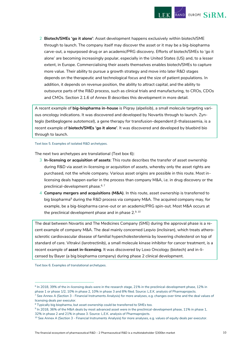

2 **Biotech/SMEs 'go it alone'**: Asset development happens exclusively within biotech/SME through to launch. The company itself may discover the asset or it may be a big-biopharma carve-out, a repurposed drug or an academic/PRG discovery. Efforts of biotech/SMEs to 'go it alone' are becoming increasingly popular, especially in the United States (US) and, to a lesser extent, in Europe. Commercialising their assets themselves enables biotech/SMEs to capture more value. Their ability to pursue a growth strategy and move into later R&D stages depends on the therapeutic and technological focus and the size of patient populations. In addition, it depends on revenue position, the ability to attract capital, and the ability to outsource parts of the R&D process, such as clinical trials and manufacturing, to CROs, CDOs and CMOs. Section 2.1.6 of Annex B describes this development in more detail.

A recent example of **big-biopharma in-house** is Piqray (alpelisib), a small molecule targeting various oncology indications. It was discovered and developed by Novartis through to launch. Zynteglo (betibeglogene autotemcel), a gene therapy for transfusion-dependent β-thalassaemia, is a recent example of **biotech/SMEs 'go it alone'**. It was discovered and developed by bluebird bio through to launch.

<span id="page-14-0"></span>Text box 5. Examples of isolated R&D archetypes.

The next two archetypes are translational [\(Text box 6\)](#page-14-1):

- 3 **In-licensing or acquisition of assets**: This route describes the transfer of asset ownership during R&D via asset in-licensing or acquisition of assets, whereby only the asset rights are purchased, not the whole company. Various asset origins are possible in this route. Most inlicensing deals happen earlier in the process than company M&A, i.e. in drug discovery or the preclinical-development phase.<sup>6, 7</sup>
- 4 **Company mergers and acquisitions (M&A)**. In this route, asset ownership is transferred to big biopharma<sup>8</sup> during the R&D process via company M&A. The acquired company may, for example, be a big-biopharma carve-out or an academic/PRG spin-out. Most M&A occurs at the preclinical development phase and in phase  $2^{9,10}$

The deal between Novartis and The Medicines Company (SME) during the approval phase is a recent example of company M&A. The deal mainly concerned Leqvio (inclisiran), which treats atherosclerotic cardiovascular disease of familial hypercholesterolemia by lowering cholesterol on top of standard of care. Vitrakvi (larotrectinib), a small molecule kinase inhibitor for cancer treatment, is a recent example of **asset in-licensing**. It was discovered by Loxo Oncology (biotech) and in-licensed by Bayer (a big biopharma company) during phase 2 clinical development.

<span id="page-14-1"></span>Text box 6. Examples of translational archetypes.

<sup>6</sup> In 2018, 39% of the in-licensing deals were in the research stage, 21% in the preclinical-development phase, 12% in phase 1 or phase 1/2, 10% in phase 2, 10% in phase 3 and 8% filed. Source: L.E.K. analysis of Pharmaprojects.

 $^7$  See Annex A (Section 3 - Financial Instruments Analysis) for more analyses, e.g. changes over time and the deal values of licensing deals per executor.

<sup>&</sup>lt;sup>8</sup> Typically big biopharma, but asset ownership could be transferred to SMEs too.

<sup>&</sup>lt;sup>9</sup> In 2018, 36% of the M&A deals by most advanced asset were in the preclinical-development phase, 11% in phase 1,

<sup>32%</sup> in phase 2 and 21% in phase 3. Source: L.E.K. analysis of Pharmaprojects.

<sup>&</sup>lt;sup>10</sup> See Annex A (Section 3 - Financial Instruments Analysis) for more analyses, e.g. values of equity deals per executor.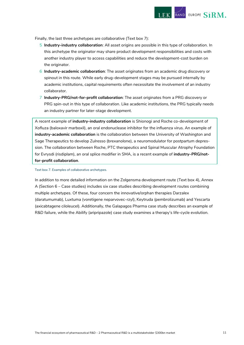

Finally, the last three archetypes are collaborative [\(Text box 7\)](#page-15-0):

- 5 **Industry-industry collaboration**: All asset origins are possible in this type of collaboration. In this archetype the originator may share product development responsibilities and costs with another industry player to access capabilities and reduce the development-cost burden on the originator.
- 6 **Industry-academic collaboration**: The asset originates from an academic drug discovery or spinout in this route. While early drug-development stages may be pursued internally by academic institutions, capital requirements often necessitate the involvement of an industry collaborator.
- 7 **Industry-PRG/not-for-profit collaboration**: The asset originates from a PRG discovery or PRG spin-out in this type of collaboration. Like academic institutions, the PRG typically needs an industry partner for later-stage development.

A recent example of **industry-industry collaboration** is Shionogi and Roche co-development of Xofluza (baloxavir marboxil), an oral endonuclease inhibitor for the influenza virus. An example of **industry-academic collaboration** is the collaboration between the University of Washington and Sage Therapeutics to develop Zulresso (brexanolone), a neuromodulator for postpartum depression. The collaboration between Roche, PTC therapeutics and Spinal Muscular Atrophy Foundation for Evrysdi (risdiplam), an oral splice modifier in SMA, is a recent example of **industry–PRG/notfor-profit collaboration**.

<span id="page-15-0"></span>Text box 7. Examples of collaborative archetypes.

In addition to more detailed information on the Zolgensma development route [\(Text box 4\)](#page-12-1), Annex A (Section 6 – Case studies) includes six case studies describing development routes combining multiple archetypes. Of these, four concern the innovative/orphan therapies Darzalex (daratumumab), Luxtuma (voretigene neparvovec-rzyl), Keytruda (pembrolizumab) and Yescarta (axicabtagene ciloleucel). Additionally, the Galapagos Pharma case study describes an example of R&D failure, while the Abilify (aripripazole) case study examines a therapy's life-cycle evolution.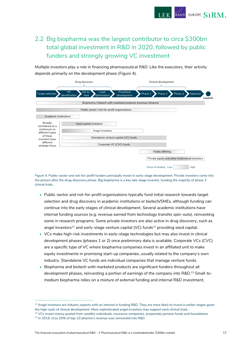

## <span id="page-16-0"></span>2.2 Big biopharma was the largest contributor to circa \$300bn total global investment in R&D in 2020, followed by public funders and strongly growing VC investment

Multiple investors play a role in financing pharmaceutical R&D. Like the executors, their activity depends primarily on the development phase [\(Figure 4\)](#page-16-1).

|                                                            |                              | Drug discovery         |                                              |                                                              | Clinical development                             |         |          |        |
|------------------------------------------------------------|------------------------------|------------------------|----------------------------------------------|--------------------------------------------------------------|--------------------------------------------------|---------|----------|--------|
| Target selection                                           | <b>Hit</b><br>identification | Hit-to-<br>lead        | Lead<br>optimisation                         | Preclinical<br>development                                   | Phase 1<br>Phase 2                               | Phase 3 | Approval | Launch |
|                                                            |                              |                        |                                              | Biopharma / biotech with marketed products (revenue streams) |                                                  |         |          |        |
|                                                            |                              |                        | Public sector / not-for-profit organisations |                                                              |                                                  |         |          |        |
|                                                            | Academic institutions        |                        |                                              |                                                              |                                                  |         |          |        |
| Broadly<br>considered as a<br>continuum as                 |                              | Seed capital investors | Angel investors                              |                                                              |                                                  |         |          |        |
| different types<br>of these<br>investors have<br>different |                              |                        |                                              | Standalone venture capital (VC) funds                        |                                                  |         |          |        |
| strategic focus                                            |                              |                        |                                              | Corporate VC (CVC) funds                                     |                                                  |         |          |        |
|                                                            |                              |                        |                                              |                                                              | Public offering                                  |         |          |        |
|                                                            |                              |                        |                                              |                                                              | Private equity and other institutional investors |         |          |        |
|                                                            |                              |                        |                                              |                                                              | Focus of funding: Low                            |         | High     |        |

<span id="page-16-1"></span>Figure 4. Public-sector and not-for-profit funders principally invest in early-stage development. Private investors come into the picture after the drug-discovery phase. Big biopharma is a key late-stage investor, funding the majority of phase 3 clinical trials.

- Public-sector and not-for-profit organisations typically fund initial research towards target selection and drug discovery in academic institutions or biotech/SMEs, although funding can continue into the early stages of clinical development. Several academic institutions have internal funding sources (e.g. revenue earned from technology transfer spin-outs), reinvesting some in research programs. Some private investors are also active in drug discovery, such as angel investors<sup>11</sup> and early-stage venture capital (VC) funds<sup>12</sup> providing seed capital.
- VCs make high-risk investments in early-stage technologies but may also invest in clinical development phases (phases 1 or 2) once preliminary data is available. Corporate VCs (CVC) are a specific type of VC where biopharma companies invest in an affiliated unit to make equity investments in promising start-up companies, usually related to the company's own industry. Standalone VC funds are individual companies that manage venture funds.
- Biopharma and biotech with marketed products are significant funders throughout all development phases, reinvesting a portion of earnings of the company into R&D.<sup>13</sup> Small-tomedium biopharma relies on a mixture of external funding and internal R&D investment,

<sup>&</sup>lt;sup>11</sup> Angel investors are industry experts with an interest in funding R&D. They are more likely to invest in earlier stages given the high costs of clinical development. More sophisticated angel investors may support early clinical trials.

 $12$  VCs invest money pooled from wealthy individuals, insurance companies, (corporate) pension funds and foundations. <sup>13</sup> In 2019, circa 20% of top-10 pharma's revenue was reinvested into R&D.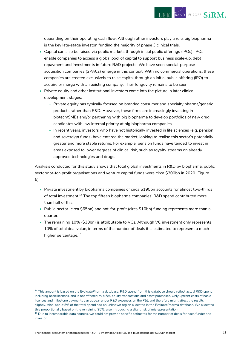

RAND EUROPE  $\mathbf{S}$ 1 $\mathbf{R}\mathbf{M}$  .

- Capital can also be raised via public markets through initial public offerings (IPOs). IPOs enable companies to access a global pool of capital to support business scale-up, debt repayment and investments in future R&D projects. We have seen special-purpose acquisition companies (SPACs) emerge in this context. With no commercial operations, these companies are created exclusively to raise capital through an initial public offering (IPO) to acquire or merge with an existing company. Their longevity remains to be seen.
- Private equity and other institutional investors come into the picture in later clinicaldevelopment stages:
	- Private equity has typically focused on branded consumer and specialty pharma/generic products rather than R&D. However, these firms are increasingly investing in biotech/SMEs and/or partnering with big biopharma to develop portfolios of new drug candidates with low internal priority at big biopharma companies.
	- In recent years, investors who have not historically invested in life sciences (e.g. pension and sovereign funds) have entered the market, looking to realise this sector's potentially greater and more stable returns. For example, pension funds have tended to invest in areas exposed to lower degrees of clinical risk, such as royalty streams on already approved technologies and drugs.

Analysis conducted for this study shows that total global investments in R&D by biopharma, public sector/not-for-profit organisations and venture capital funds were circa \$300bn in 2020 (Figure 5):

- Private investment by biopharma companies of circa \$195bn accounts for almost two-thirds of total investment.<sup>14</sup> The top fifteen biopharma companies' R&D spend contributed more than half of this.
- Public-sector (circa \$65bn) and not-for-profit (circa \$10bn) funding represents more than a quarter.
- The remaining 10% (\$30bn) is attributable to VCs. Although VC investment only represents 10% of total deal value, in terms of the number of deals it is estimated to represent a much higher percentage.<sup>15</sup>

<sup>14</sup> This amount is based on the EvaluatePharma database. R&D spend from this database should reflect actual R&D spend, including basic licenses, and is not affected by M&A, equity transactions and asset purchases. Only upfront costs of basic licenses and milestone payments can appear under R&D expenses on the P&L and therefore might affect the results slightly. Also, about 5% of the total spend had an unknown region allocated in the EvaluatePharma database. We allocated this proportionally based on the remaining 95%, also introducing a slight risk of misrepresentation.

<sup>&</sup>lt;sup>15</sup> Due to incomparable data sources, we could not provide specific estimates for the number of deals for each funder and investor.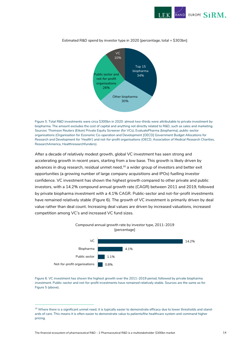



#### Estimated R&D spend by investor type in 2020 [percentage, total = \$303bn]

Figure 5. Total R&D investments were circa \$300bn in 2020: almost two-thirds were attributable to private investment by biopharma. The amount excludes the cost of capital and anything not directly related to R&D, such as sales and marketing. Sources: Thomson Reuters (Eikon) Private Equity Screener (for VCs), EvaluatePharma (biopharma), public-sector organisations (Organisation for Economic Co-operation and Development [OECD] Government Budget Allocations for Research and Development for 'Health') and not-for-profit organisations (OECD, Association of Medical Research Charities, ResearchAmerica, Healthresearchfunders).

After a decade of relatively modest growth, global VC investment has seen strong and accelerating growth in recent years, starting from a low base. This growth is likely driven by advances in drug research, residual unmet need,<sup>16</sup> a wider group of investors and better exit opportunities (a growing number of large company acquisitions and IPOs) fuelling investor confidence. VC investment has shown the highest growth compared to other private and public investors, with a 14.2% compound annual growth rate (CAGR) between 2011 and 2019, followed by private biopharma investment with a 4.1% CAGR. Public-sector and not-for-profit investments have remained relatively stable [\(Figure 6\)](#page-18-0). The growth of VC investment is primarily driven by deal value rather than deal count. Increasing deal values are driven by increased valuations, increased competition among VC's and increased VC fund sizes.



<span id="page-18-0"></span>Figure 6. VC investment has shown the highest growth over the 2011–2019 period, followed by private biopharma investment. Public-sector and not-for-profit investments have remained relatively stable. Sources are the same as for Figure 5 (above).

<sup>&</sup>lt;sup>16</sup> Where there is a significant unmet need, it is typically easier to demonstrate efficacy due to lower thresholds and standards of care. This means it is often easier to demonstrate value to patients/the healthcare system and command higher pricing.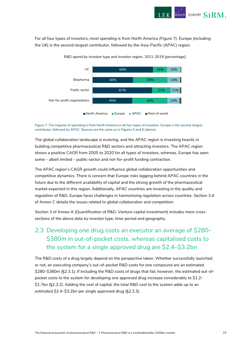

For all four types of investors, most spending is from North America [\(Figure 7\)](#page-19-1). Europe (including the UK) is the second-largest contributor, followed by the Asia-Pacific (APAC) region.



R&D spend by investor type and investor region, 2011-2019 [percentage]

The global collaboration landscape is evolving, and the APAC region is investing heavily in building competitive pharmaceutical R&D sectors and attracting investors. The APAC region shows a positive CAGR from 2005 to 2020 for all types of investors, whereas, Europe has seen some – albeit limited – public-sector and not-for-profit funding contraction.

The APAC region's CAGR growth could influence global collaboration opportunities and competitive dynamics. There is concern that Europe risks lagging behind APAC countries in the future due to the different availability of capital and the strong growth of the pharmaceutical market expected in this region. Additionally, APAC countries are investing in the quality and regulation of R&D. Europe faces challenges in harmonising regulation across countries. Section 3.4 of Annex C details the issues related to global collaboration and competition.

Section 3 of Annex A (Quantification of R&D, Venture capital investment) includes more crosssections of the above data by investor type, time-period and geography.

## <span id="page-19-0"></span>2.3 Developing one drug costs an executor an average of \$280– \$380m in out-of-pocket costs, whereas capitalised costs to the system for a single approved drug are \$2.4–\$3.2bn

The R&D costs of a drug largely depend on the perspective taken. Whether successfully launched or not, an executing company's out-of-pocket R&D costs for one compound are an estimated \$280–\$380m (§2.3.1). If including the R&D costs of drugs that fail, however, the estimated out-ofpocket costs to the system for developing one approved drug increase considerably to \$1.2– \$1.7bn (§2.3.2). Adding the cost of capital, the total R&D cost to the system adds up to an estimated \$2.4–\$3.2bn per single approved drug (§2.3.3).

<span id="page-19-1"></span>Figure 7. The majority of spending is from North America in all four types of investors. Europe is the second-largest contributor, followed by APAC. Sources are the same as in Figures 5 and 6 (above).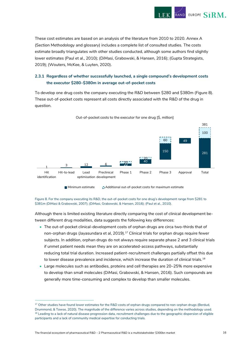

These cost estimates are based on an analysis of the literature from 2010 to 2020. Annex A (Section Methodology and glossary) includes a complete list of consulted studies. The costs estimate broadly triangulates with other studies conducted, although some authors find slightly lower estimates (Paul et al., 2010); (DiMasi, Grabowski, & Hansen, 2016); (Gupta Strategists, 2019); (Wouters, McKee, & Luyten, 2020).

### **2.3.1 Regardless of whether successfully launched, a single compound's development costs the executor \$280–\$380m in average out-of-pocket costs**

To develop one drug costs the company executing the R&D between \$280 and \$380m [\(Figure 8\)](#page-20-0). These out-of-pocket costs represent all costs directly associated with the R&D of the drug in question.



Out-of-pocket costs to the executor for one drug [\$, million]

<span id="page-20-0"></span>Figure 8. For the company executing its R&D, the out-of-pocket costs for one drug's development range from \$281 to

\$381m (DiMasi & Grabowski, 2007); (DiMasi, Grabowski, & Hansen, 2016); (Paul et al., 2010).

tween different drug modalities, data suggests the following key differences:

Although there is limited existing literature directly comparing the cost of clinical development be-

- The out-of-pocket clinical-development costs of orphan drugs are circa two-thirds that of non-orphan drugs (Jayasundara et al, 2019). <sup>17</sup> Clinical trials for orphan drugs require fewer subjects. In addition, orphan drugs do not always require separate phase 2 and 3 clinical trials if unmet patient needs mean they are on accelerated-access pathways, substantially reducing total trial duration. Increased patient-recruitment challenges partially offset this due to lower disease prevalence and incidence, which increase the duration of clinical trials.<sup>18</sup>
- Large molecules such as antibodies, proteins and cell therapies are 20–25% more expensive to develop than small molecules (DiMasi, Grabowski, & Hansen, 2016). Such compounds are generally more time-consuming and complex to develop than smaller molecules.

<sup>&</sup>lt;sup>17</sup> Other studies have found lower estimates for the R&D costs of orphan drugs compared to non-orphan drugs (Berdud, Drummond, & Towse, 2020). The magnitude of the difference varies across studies, depending on the methodology used. <sup>18</sup> Leading to a lack of natural disease progression data, recruitment challenges due to the geographic dispersion of eligible participants and a lack of community medical expertise for conducting trials.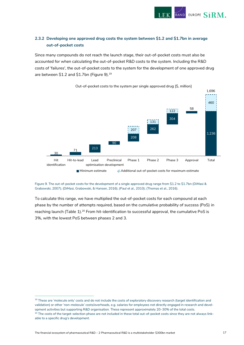

### **2.3.2 Developing one approved drug costs the system between \$1.2 and \$1.7bn in average out-of-pocket costs**

Since many compounds do not reach the launch stage, their out-of-pocket costs must also be accounted for when calculating the out-of-pocket R&D costs *to the system*. Including the R&D costs of 'failures', the out-of-pocket costs to the system for the development of one approved drug are between \$1.2 and \$1.7bn [\(Figure 9\)](#page-21-0).<sup>19</sup>



<span id="page-21-0"></span>Figure 9. The out-of-pocket costs for the development of a single approved drug range from \$1.2 to \$1.7bn (DiMasi & Grabowski, 2007); (DiMasi, Grabowski, & Hansen, 2016); (Paul et al., 2010); (Thomas et al., 2016).

To calculate this range, we have multiplied the out-of-pocket costs for each compound at each phase by the number of attempts required, based on the cumulative probability of success (PoS) in reaching launch (Table 1).<sup>20</sup> From hit-identification to successful approval, the cumulative PoS is 3%, with the lowest PoS between phases 2 and 3.

<sup>&</sup>lt;sup>19</sup> These are 'molecule only' costs and do not include the costs of exploratory discovery research (target identification and validation) or other 'non-molecule' costs/overheads, e.g. salaries for employees not directly engaged in research and development activities but supporting R&D organisation. These represent approximately 20–30% of the total costs. <sup>20</sup> The costs of the target-selection phase are not included in these total out-of-pocket costs since they are not always linkable to a specific drug's development.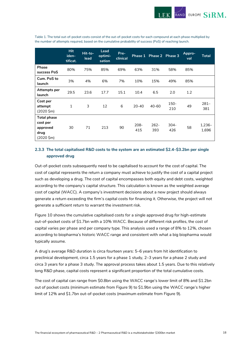

Table 1. The total out-of-pocket costs consist of the out-of-pocket costs for each compound at each phase multiplied by the number of attempts required, based on the cumulative probability of success (PoS) of reaching launch.

|                                                                             | <b>Hit</b><br>iden-<br>tificat. | Hit-to-<br>lead | Lead<br>optimi-<br>sation | Pre-<br>clinical |                | Phase 1 Phase 2 Phase 3 |                | Appro-<br>val | <b>Total</b>      |
|-----------------------------------------------------------------------------|---------------------------------|-----------------|---------------------------|------------------|----------------|-------------------------|----------------|---------------|-------------------|
| Phase<br>success PoS                                                        | 80%                             | 75%             | 85%                       | 69%              | 63%            | 31%                     | 58%            | 85%           |                   |
| Cum. PoS to<br>launch                                                       | 3%                              | 4%              | 6%                        | 7%               | 10%            | 15%                     | 49%            | 85%           |                   |
| Attempts per<br>launch                                                      | 29.5                            | 23.6            | 17.7                      | 15.1             | 10.4           | 6.5                     | 2.0            | 1.2           |                   |
| Cost per<br>attempt<br>$(2020 \; \text{Sm})$                                | $\mathbf{1}$                    | 3               | 12                        | 6                | $20 - 40$      | 40-60                   | 150-<br>210    | 49            | $281 -$<br>381    |
| <b>Total phase</b><br>cost per<br>approved<br>drug<br>$(2020 \; \text{Sm})$ | 30                              | 71              | 213                       | 90               | $208 -$<br>415 | $262 -$<br>393          | $304 -$<br>426 | 58            | $1,236-$<br>1,696 |

### **2.3.3 The total capitalised R&D costs to the system are an estimated \$2.4–\$3.2bn per single approved drug**

Out-of-pocket costs subsequently need to be capitalised to account for the cost of capital. The cost of capital represents the return a company must achieve to justify the cost of a capital project such as developing a drug. The cost of capital encompasses both equity and debt costs, weighted according to the company's capital structure. This calculation is known as the weighted average cost of capital (WACC). A company's investment decisions about a new project should always generate a return exceeding the firm's capital costs for financing it. Otherwise, the project will not generate a sufficient return to warrant the investment risk.

[Figure 10](#page-23-0) shows the cumulative capitalised costs for a single approved drug for high-estimate out-of-pocket costs of \$1.7bn with a 10% WACC. Because of different risk profiles, the cost of capital varies per phase and per company type. This analysis used a range of 8% to 12%, chosen according to biopharma's historic WACC range and consistent with what a big biopharma would typically assume.

A drug's average R&D duration is circa fourteen years: 5–6 years from hit identification to preclinical development, circa 1.5 years for a phase 1 study, 2–3 years for a phase 2 study and circa 3 years for a phase 3 study. The approval process takes about 1.5 years. Due to this relatively long R&D phase, capital costs represent a significant proportion of the total cumulative costs.

The cost of capital can range from \$0.8bn using the WACC range's lower limit of 8% and \$1.2bn out of pocket costs (minimum estimate from [Figure 9](#page-21-0)) to \$1.9bn using the WACC range's higher limit of 12% and \$1.7bn out-of-pocket costs (maximum estimate from [Figure 9\)](#page-21-0).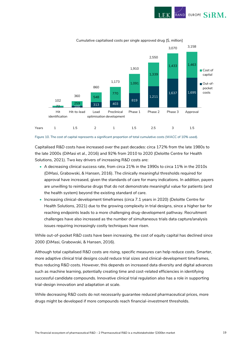



Cumulative capitalised costs per single approved drug [\$, million]

Capitalised R&D costs have increased over the past decades: circa 172% from the late 1980s to the late 2000s (DiMasi et al., 2016) and 92% from 2010 to 2020 (Deloitte Centre for Health Solutions, 2021). Two key drivers of increasing R&D costs are:

- A decreasing clinical success rate, from circa 21% in the 1990s to circa 11% in the 2010s (DiMasi, Grabowski, & Hansen, 2016). The clinically meaningful thresholds required for approval have increased, given the standards of care for many indications. In addition, payers are unwilling to reimburse drugs that do not demonstrate meaningful value for patients (and the health system) beyond the existing standard of care.
- Increasing clinical-development timeframes (circa 7.1 years in 2020) (Deloitte Centre for Health Solutions, 2021) due to the growing complexity in trial designs, since a higher bar for reaching endpoints leads to a more challenging drug-development pathway. Recruitment challenges have also increased as the number of simultaneous trials data capture/analysis issues requiring increasingly costly techniques have risen.

While out-of-pocket R&D costs have been increasing, the cost of equity capital has declined since 2000 (DiMasi, Grabowski, & Hansen, 2016).

Although total capitalised R&D costs are rising, specific measures can help reduce costs. Smarter, more adaptive clinical trial designs could reduce trial sizes and clinical-development timeframes, thus reducing R&D costs. However, this depends on increased data diversity and digital advances such as machine learning, potentially creating time and cost-related efficiencies in identifying successful candidate compounds. Innovative clinical trial regulation also has a role in supporting trial-design innovation and adaptation at scale.

While decreasing R&D costs do not necessarily guarantee reduced pharmaceutical prices, more drugs might be developed if more compounds reach financial-investment thresholds.

<span id="page-23-0"></span>Figure 10. The cost of capital represents a significant proportion of total cumulative costs (WACC of 10% used).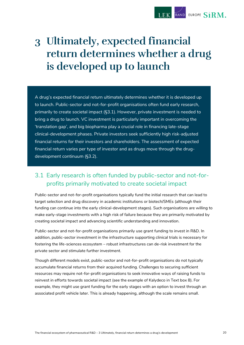

## <span id="page-24-0"></span>**3 Ultimately, expected financial return determines whether a drug is developed up to launch**

A drug's expected financial return ultimately determines whether it is developed up to launch. Public-sector and not-for-profit organisations often fund early research, primarily to create societal impact (§3.1). However, private investment is needed to bring a drug to launch. VC investment is particularly important in overcoming the 'translation gap', and big biopharma play a crucial role in financing late-stage clinical-development phases. Private investors seek sufficiently high risk-adjusted financial returns for their investors and shareholders. The assessment of expected financial return varies per type of investor and as drugs move through the drugdevelopment continuum (§3.2).

## <span id="page-24-1"></span>3.1 Early research is often funded by public-sector and not-forprofits primarily motivated to create societal impact

Public-sector and not-for-profit organisations typically fund the initial research that can lead to target selection and drug discovery in academic institutions or biotech/SMEs (although their funding can continue into the early clinical-development stages). Such organisations are willing to make early-stage investments with a high risk of failure because they are primarily motivated by creating societal impact and advancing scientific understanding and innovation.

Public-sector and not-for-profit organisations primarily use grant funding to invest in R&D. In addition, public-sector investment in the infrastructure supporting clinical trials is necessary for fostering the life-sciences ecosystem – robust infrastructures can de-risk investment for the private sector and stimulate further investment.

Though different models exist, public-sector and not-for-profit organisations do not typically accumulate financial returns from their acquired funding. Challenges to securing sufficient resources may require not-for-profit organisations to seek innovative ways of raising funds to reinvest in efforts towards societal impact (see the example of Kalydeco in Text box 8). For example, they might use grant funding for the early stages with an option to invest through an associated profit vehicle later. This is already happening, although the scale remains small.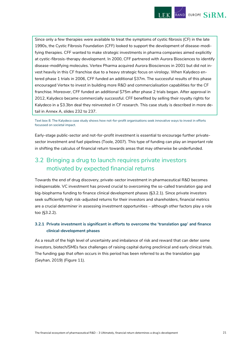

Since only a few therapies were available to treat the symptoms of cystic fibrosis (CF) in the late 1990s, the Cystic Fibrosis Foundation (CFF) looked to support the development of disease-modifying therapies. CFF wanted to make strategic investments in pharma companies aimed explicitly at cystic-fibrosis-therapy development. In 2000, CFF partnered with Aurora Biosciences to identify disease-modifying molecules. Vertex Pharma acquired Aurora Biosciences in 2001 but did not invest heavily in this CF franchise due to a heavy strategic focus on virology. When Kalydeco entered phase 1 trials in 2006, CFF funded an additional \$37m. The successful results of this phase encouraged Vertex to invest in building more R&D and commercialisation capabilities for the CF franchise. Moreover, CFF funded an additional \$75m after phase 2 trials began. After approval in 2012, Kalydeco became commercially successful. CFF benefited by selling their royalty rights for Kalydeco in a \$3.3bn deal they reinvested in CF research. This case study is described in more detail in Annex A, slides 232 to 237.

Text box 8. The Kalydeco case study shows how not-for-profit organisations seek innovative ways to invest in efforts focussed on societal impact.

Early-stage public-sector and not-for-profit investment is essential to encourage further privatesector investment and fuel pipelines (Toole, 2007). This type of funding can play an important role in shifting the calculus of financial return towards areas that may otherwise be underfunded.

## <span id="page-25-0"></span>3.2 Bringing a drug to launch requires private investors motivated by expected financial returns

Towards the end of drug discovery, private-sector investment in pharmaceutical R&D becomes indispensable. VC investment has proved crucial to overcoming the so-called translation gap and big-biopharma funding to finance clinical development phases (§3.2.1). Since private investors seek sufficiently high risk-adjusted returns for their investors and shareholders, financial metrics are a crucial determiner in assessing investment opportunities – although other factors play a role too (§3.2.2).

### **3.2.1 Private investment is significant in efforts to overcome the 'translation gap' and finance clinical-development phases**

As a result of the high level of uncertainty and imbalance of risk and reward that can deter some investors, biotech/SMEs face challenges of raising capital during preclinical and early clinical trials. The funding gap that often occurs in this period has been referred to as the translation gap (Seyhan, 2019) [\(Figure 11\)](#page-26-0).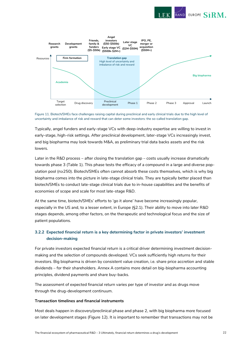



<span id="page-26-0"></span>Figure 11. Biotech/SMEs face challenges raising capital during preclinical and early clinical trials due to the high level of uncertainty and imbalance of risk and reward that can deter some investors: the so-called translation gap.

Typically, angel funders and early-stage VCs with deep-industry expertise are willing to invest in early-stage, high-risk settings. After preclinical development, later-stage VCs increasingly invest, and big biopharma may look towards M&A, as preliminary trial data backs assets and the risk lowers.

Later in the R&D process – after closing the translation gap – costs usually increase dramatically towards phase 3 (Table 1). This phase tests the efficacy of a compound in a large and diverse population pool (n≥250). Biotech/SMEs often cannot absorb these costs themselves, which is why big biopharma comes into the picture in late-stage clinical trials. They are typically better placed than biotech/SMEs to conduct late-stage clinical trials due to in-house capabilities and the benefits of economies of scope and scale for most late-stage R&D.

At the same time, biotech/SMEs' efforts to 'go it alone' have become increasingly popular, especially in the US and, to a lesser extent, in Europe (§2.1). Their ability to move into later R&D stages depends, among other factors, on the therapeutic and technological focus and the size of patient populations.

### **3.2.2 Expected financial return is a key determining factor in private investors' investment decision-making**

For private investors expected financial return is a critical driver determining investment decisionmaking and the selection of compounds developed. VCs seek sufficiently high returns for their investors. Big biopharma is driven by consistent value creation, i.e. share price accretion and stable dividends – for their shareholders. Annex A contains more detail on big-biopharma accounting principles, dividend payments and share buy-backs.

The assessment of expected financial return varies per type of investor and as drugs move through the drug-development continuum.

#### **Transaction timelines and financial instruments**

Most deals happen in discovery/preclinical phase and phase 2, with big biopharma more focused on later development stages [\(Figure 12\)](#page-27-0). It is important to remember that transactions may not be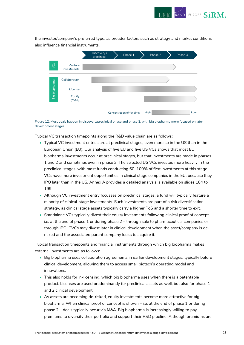

the investor/company's preferred type, as broader factors such as strategy and market conditions also influence financial instruments.



<span id="page-27-0"></span>Figure 12. Most deals happen in discovery/preclinical phase and phase 2, with big biopharma more focused on later development stages.

Typical VC transaction timepoints along the R&D value chain are as follows:

- Typical VC investment entries are at preclinical stages, even more so in the US than in the European Union (EU). Our analysis of five EU and five US VCs shows that most EU biopharma investments occur at preclinical stages, but that investments are made in phases 1 and 2 and sometimes even in phase 3. The selected US VCs invested more heavily in the preclinical stages, with most funds conducting 60–100% of first investments at this stage. VCs have more investment opportunities in clinical stage companies in the EU, because they IPO later than in the US. Annex A provides a detailed analysis is available on slides 184 to 199.
- Although VC investment entry focusses on preclinical stages, a fund will typically feature a minority of clinical-stage investments. Such investments are part of a risk diversification strategy, as clinical stage assets typically carry a higher PoS and a shorter time to exit.
- Standalone VCs typically divest their equity investments following clinical proof of concept i.e. at the end of phase 1 or during phase 2 – through sale to pharmaceutical companies or through IPO. CVCs may divest later in clinical development when the asset/company is derisked and the associated parent company looks to acquire it.

Typical transaction timepoints and financial instruments through which big biopharma makes external investments are as follows:

- Big biopharma uses collaboration agreements in earlier development stages, typically before clinical development, allowing them to access small biotech's operating model and innovations.
- This also holds for in-licensing, which big biopharma uses when there is a patentable product. Licenses are used predominantly for preclinical assets as well, but also for phase 1 and 2 clinical development.
- As assets are becoming de-risked, equity investments become more attractive for big biopharma. When clinical proof of concept is shown – i.e. at the end of phase 1 or during phase 2 – deals typically occur via M&A. Big biopharma is increasingly willing to pay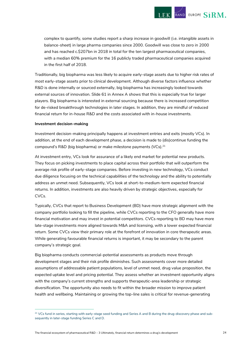

RAND EUROPE  $\boldsymbol{\mathrm{S}1\mathrm{RM}}.$ 

Traditionally, big biopharma was less likely to acquire early-stage assets due to higher risk rates of most early-stage assets prior to clinical development. Although diverse factors influence whether R&D is done internally or sourced externally, big biopharma has increasingly looked towards external sources of innovation. Slide 61 in Annex A shows that this is especially true for larger players. Big biopharma is interested in external sourcing because there is increased competition for de-risked breakthrough technologies in later stages. In addition, they are mindful of reduced financial return for in-house R&D and the costs associated with in-house investments.

#### **Investment decision-making**

Investment decision-making principally happens at investment entries and exits (mostly VCs). In addition, at the end of each development phase, a decision is made to (dis)continue funding the compound's R&D (big biopharma) or make milestone payments (VCs). 21

At investment entry, VCs look for assurance of a likely end market for potential new products. They focus on picking investments to place capital across their portfolio that will outperform the average risk profile of early-stage companies. Before investing in new technology, VCs conduct due diligence focusing on the technical capabilities of the technology and the ability to potentially address an unmet need. Subsequently, VCs look at short-to-medium-term expected financial returns. In addition, investments are also heavily driven by strategic objectives, especially for CVCs.

Typically, CVCs that report to Business Development (BD) have more strategic alignment with the company portfolio looking to fill the pipeline, while CVCs reporting to the CFO generally have more financial motivation and may invest in potential competitors. CVCs reporting to BD may have more late-stage investments more aligned towards M&A and licensing, with a lower expected financial return. Some CVCs view their primary role at the forefront of innovation in core therapeutic areas. While generating favourable financial returns is important, it may be secondary to the parent company's strategic goal.

Big biopharma conducts commercial-potential assessments as products move through development stages and their risk profile diminishes. Such assessments cover more detailed assumptions of addressable patient populations, level of unmet need, drug value proposition, the expected uptake level and pricing potential. They assess whether an investment opportunity aligns with the company's current strengths and supports therapeutic-area leadership or strategic diversification. The opportunity also needs to fit within the broader mission to improve patient health and wellbeing. Maintaining or growing the top-line sales is critical for revenue-generating

<sup>&</sup>lt;sup>21</sup> VCs fund in series, starting with early-stage seed funding and Series A and B during the drug-discovery phase and subsequently in later-stage funding Series C and D.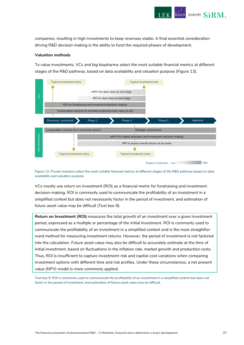

companies, resulting in high investments to keep revenues stable. A final essential consideration driving R&D decision making is the ability to fund the required phases of development.

#### **Valuation methods**

To value investments, VCs and big biopharma select the most suitable financial metrics at different stages of the R&D pathway, based on data availability and valuation purpose [\(Figure 13\)](#page-29-0).



<span id="page-29-0"></span>Figure 13. Private investors select the most suitable financial metrics at different stages of the R&D pathway based on data availability and valuation purpose.

VCs mostly use return on investment (ROI) as a financial metric for fundraising and investment decision-making. ROI is commonly used to communicate the profitability of an investment in a simplified context but does not necessarily factor in the period of investment, and estimation of future asset value may be difficult [\(Text box 9\)](#page-29-1).

**Return on Investment (ROI)** measures the total growth of an investment over a given investment period, expressed as a multiple or percentage of the initial investment. ROI is commonly used to communicate the profitability of an investment in a simplified context and is the most straightforward method for measuring investment returns. However, the period of investment is not factored into the calculation. Future asset value may also be difficult to accurately estimate at the time of initial investment, based on fluctuations in the inflation rate, market growth and production costs. Thus, ROI is insufficient to capture investment-risk and capital-cost variations when comparing investment options with different time and risk profiles. Under these circumstances, a net present value (NPV) model is more commonly applied.

<span id="page-29-1"></span>Text box 9. ROI is commonly used to communicate the profitability of an investment in a simplified context but does not factor in the period of investment, and estimation of future asset value may be difficult.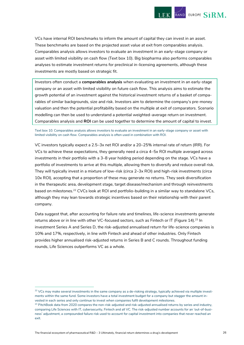

VCs have internal ROI benchmarks to inform the amount of capital they can invest in an asset. These benchmarks are based on the projected asset value at exit from comparables analysis. Comparables analysis allows investors to evaluate an investment in an early-stage company or asset with limited visibility on cash flow [\(Text box 10\)](#page-30-0). Big biopharma also performs comparables analyses to estimate investment returns for preclinical in-licensing agreements, although these investments are mostly based on strategic fit.

Investors often conduct a **comparables analysis** when evaluating an investment in an early-stage company or an asset with limited visibility on future cash flow. This analysis aims to estimate the growth potential of an investment against the historical investment returns of a basket of comparables of similar backgrounds, size and risk. Investors aim to determine the company's pre-money valuation and then the potential profitability based on the multiple at exit of comparators. Scenario modelling can then be used to understand a potential weighted-average return on investment. Comparables analysis and **ROI** can be used together to determine the amount of capital to invest.

<span id="page-30-0"></span>Text box 10. Comparables analysis allows investors to evaluate an investment in an early-stage company or asset with limited visibility on cash flow. Comparables analysis is often used in combination with ROI.

VC investors typically expect a 2.5–3x net ROI and/or a 20–25% internal rate of return (IRR). For VCs to achieve these expectations, they generally need a circa 4–5x ROI multiple averaged across investments in their portfolio with a 3–8 year holding period depending on the stage. VCs have a portfolio of investments to arrive at this multiple, allowing them to diversify and reduce overall risk. They will typically invest in a mixture of low-risk (circa 2–3x ROI) and high-risk investments (circa 10x ROI), accepting that a proportion of these may generate no returns. They seek diversification in the therapeutic area, development stage, target disease/mechanism and through reinvestments based on milestones.<sup>22</sup> CVCs look at ROI and portfolio-building in a similar way to standalone VCs, although they may lean towards strategic incentives based on their relationship with their parent company.

Data suggest that, after accounting for failure rate and timelines, life-science investments generate returns above or in line with other VC-focused sectors, such as Fintech or IT (Figure 14).<sup>23</sup> In investment Series A and Series D, the risk-adjusted annualised return for life-science companies is 10% and 17%, respectively, in line with Fintech and ahead of other industries. Only Fintech provides higher annualised risk-adjusted returns in Series B and C rounds. Throughout funding rounds, Life Sciences outperforms VC as a whole.

<sup>&</sup>lt;sup>22</sup> VCs may make several investments in the same company as a de-risking strategy, typically achieved via multiple investments within the same fund. Some investors have a total investment budget for a company but stagger the amount invested in each series and only continue to invest when companies fulfil development milestones.

 $23$  PitchBook data from 2020 compares the non-risk-adjusted and risk-adjusted annualised returns by series and industry, comparing Life Sciences with IT, cybersecurity, Fintech and all VC. The risk-adjusted number accounts for an 'out-of-business' adjustment, a compounded failure risk used to account for capital investment into companies that never reached an exit.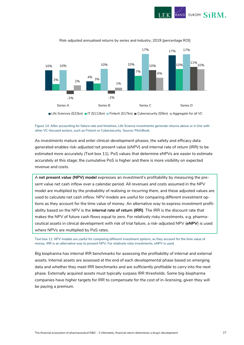



#### Risk-adjusted annualised returns by series and industry, 2019 [percentage ROI]

■ Life Sciences (\$22bn) ■ IT (\$112bn) ■ Fintech (\$17bn) ■ Cybersecurity (\$5bn) ■ Aggregate for all VC

#### Figure 14. After accounting for failure rate and timelines, Life Science investments generate returns above or in line with other VC-focused sectors, such as Fintech or Cybersecurity. Source: PitchBook.

As investments mature and enter clinical-development phases, the safety and efficacy data generated enables risk-adjusted net present value (eNPV) and internal rate of return (IRR) to be estimated more accurately [\(Text box 11\)](#page-31-0). PoS values that determine eNPVs are easier to estimate accurately at this stage; the cumulative PoS is higher and there is more visibility on expected revenue and costs.

A **net present value (NPV) model** expresses an investment's profitability by measuring the present value net cash inflow over a calendar period. All revenues and costs assumed in the NPV model are multiplied by the probability of realising or incurring them, and these adjusted values are used to calculate net cash inflow. NPV models are useful for comparing different investment options as they account for the time value of money. An alternative way to express investment profitability based on the NPV is the **internal rate of return (IRR)**. The IRR is the discount rate that makes the NPV of future cash flows equal to zero. For relatively risky investments, e.g. pharmaceutical assets in clinical development with risk of trial failure, a risk-adjusted NPV (**eNPV**) is used where NPVs are multiplied by PoS rates.

<span id="page-31-0"></span>Text box 11. NPV models are useful for comparing different investment options, as they account for the time value of money. IRR is an alternative way to present NPV. For relatively risky investments, eNPV is used.

Big biopharma has internal IRR benchmarks for assessing the profitability of internal and external assets. Internal assets are assessed at the end of each developmental phase based on emerging data and whether they meet IRR benchmarks and are sufficiently profitable to carry into the next phase. Externally acquired assets must typically surpass IRR thresholds. Some big-biopharma companies have higher targets for IRR to compensate for the cost of in-licensing, given they will be paying a premium.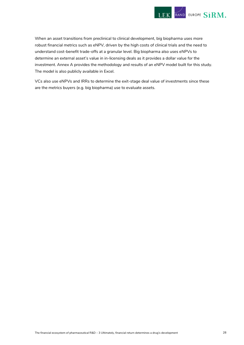

When an asset transitions from preclinical to clinical development, big biopharma uses more robust financial metrics such as eNPV, driven by the high costs of clinical trials and the need to understand cost-benefit trade-offs at a granular level. Big biopharma also uses eNPVs to determine an external asset's value in in-licensing deals as it provides a dollar value for the investment. Annex A provides the methodology and results of an eNPV model built for this study. The model is also publicly available in Excel.

VCs also use eNPVs and IRRs to determine the exit-stage deal value of investments since these are the metrics buyers (e.g. big biopharma) use to evaluate assets.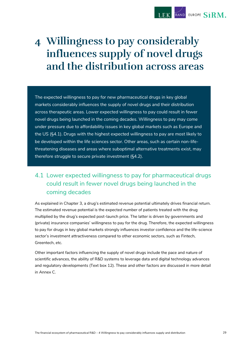

## <span id="page-33-0"></span>**4 Willingness to pay considerably influences supply of novel drugs and the distribution across areas**

The expected willingness to pay for new pharmaceutical drugs in key global markets considerably influences the supply of novel drugs and their distribution across therapeutic areas. Lower expected willingness to pay could result in fewer novel drugs being launched in the coming decades. Willingness to pay may come under pressure due to affordability issues in key global markets such as Europe and the US (§4.1). Drugs with the highest expected willingness to pay are most likely to be developed within the life sciences sector. Other areas, such as certain non-lifethreatening diseases and areas where suboptimal alternative treatments exist, may therefore struggle to secure private investment (§4.2).

## <span id="page-33-1"></span>4.1 Lower expected willingness to pay for pharmaceutical drugs could result in fewer novel drugs being launched in the coming decades

As explained in Chapter 3, a drug's estimated revenue potential ultimately drives financial return. The estimated revenue potential is the expected number of patients treated with the drug multiplied by the drug's expected post-launch price. The latter is driven by governments and (private) insurance companies' willingness to pay for the drug. Therefore, the expected willingness to pay for drugs in key global markets strongly influences investor confidence and the life-science sector's investment attractiveness compared to other economic sectors, such as Fintech, Greentech, etc.

Other important factors influencing the supply of novel drugs include the pace and nature of scientific advances, the ability of R&D systems to leverage data and digital technology advances and regulatory developments [\(Text box 12\)](#page-34-0). These and other factors are discussed in more detail in Annex C.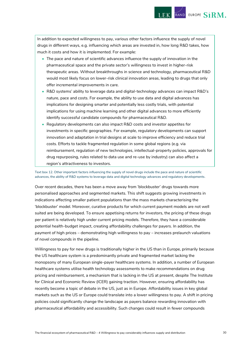

In addition to expected willingness to pay, various other factors influence the supply of novel drugs in different ways, e.g. influencing which areas are invested in, how long R&D takes, how much it costs and how it is implemented. For example:

- The pace and nature of scientific advances influence the supply of innovation in the pharmaceutical space and the private sector's willingness to invest in higher-risk therapeutic areas. Without breakthroughs in science and technology, pharmaceutical R&D would most likely focus on lower-risk clinical innovation areas, leading to drugs that only offer incremental improvements in care.
- R&D systems' ability to leverage data and digital-technology advances can impact R&D's nature, pace and costs. For example, the ability to use data and digital advances has implications for designing smarter and potentially less costly trials, with potential implications for using machine learning and other digital advances to more efficiently identify successful candidate compounds for pharmaceutical R&D.
- Regulatory developments can also impact R&D costs and investor appetites for investments in specific geographies. For example, regulatory developments can support innovation and adaptation in trial designs at scale to improve efficiency and reduce trial costs. Efforts to tackle fragmented regulation in some global regions (e.g. via reimbursement, regulation of new technologies, intellectual-property policies, approvals for drug repurposing, rules related to data use and re-use by industry) can also affect a region's attractiveness to investors.

<span id="page-34-0"></span>Text box 12. Other important factors influencing the supply of novel drugs include the pace and nature of scientific advances, the ability of R&D systems to leverage data and digital technology advances and regulatory developments.

Over recent decades, there has been a move away from 'blockbuster' drugs towards more personalised approaches and segmented markets. This shift suggests growing investments in indications affecting smaller patient populations than the mass markets characterising the 'blockbuster' model. Moreover, curative products for which current payment models are not well suited are being developed. To ensure appetising returns for investors, the pricing of these drugs per patient is relatively high under current pricing models. Therefore, they have a considerable potential health-budget impact, creating affordability challenges for payers. In addition, the payment of high prices – demonstrating high willingness to pay – increases prelaunch valuations of novel compounds in the pipeline.

Willingness to pay for new drugs is traditionally higher in the US than in Europe, primarily because the US healthcare system is a predominantly private and fragmented market lacking the monopsony of many European single-payer healthcare systems. In addition, a number of European healthcare systems utilise health technology assessments to make recommendations on drug pricing and reimbursement, a mechanism that is lacking in the US at present, despite The Institute for Clinical and Economic Review (ICER) gaining traction. However, ensuring affordability has recently become a topic of debate in the US, just as in Europe. Affordability issues in key global markets such as the US or Europe could translate into a lower willingness to pay. A shift in pricing policies could significantly change the landscape as payers balance rewarding innovation with pharmaceutical affordability and accessibility. Such changes could result in fewer compounds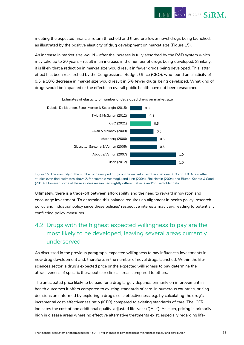

meeting the expected financial return threshold and therefore fewer novel drugs being launched, as illustrated by the positive elasticity of drug development on market size [\(Figure 15\)](#page-35-1).

An increase in market size would – after the increase is fully absorbed by the R&D system which may take up to 20 years – result in an increase in the number of drugs being developed. Similarly, it is likely that a reduction in market size would result in fewer drugs being developed. This latter effect has been researched by the Congressional Budget Office (CBO), who found an elasticity of 0.5: a 10% decrease in market size would result in 5% fewer drugs being developed. What kind of drugs would be impacted or the effects on overall public health have not been researched.



Estimates of elasticity of number of developed drugs on market size

<span id="page-35-1"></span>Figure 15. The elasticity of the number of developed drugs on the market size differs between 0.3 and 1.0. A few other studies even find estimates above 2, for example Acemoglu and Linn (2004), Finkelstein (2004) and Blume-Kohout & Sood (2013). However, some of these studies researched slightly different effects and/or used older data.

Ultimately, there is a trade-off between affordability and the need to reward innovation and encourage investment. To determine this balance requires an alignment in health policy, research policy and industrial policy since these policies' respective interests may vary, leading to potentially conflicting policy measures.

## <span id="page-35-0"></span>4.2 Drugs with the highest expected willingness to pay are the most likely to be developed, leaving several areas currently underserved

As discussed in the previous paragraph, expected willingness to pay influences investments in new drug development and, therefore, in the number of novel drugs launched. Within the lifesciences sector, a drug's expected price or the expected willingness to pay determine the attractiveness of specific therapeutic or clinical areas compared to others.

The anticipated price likely to be paid for a drug largely depends primarily on improvement in health outcomes it offers compared to existing standards of care. In numerous countries, pricing decisions are informed by exploring a drug's cost-effectiveness, e.g. by calculating the drug's incremental cost-effectiveness ratio (ICER) compared to existing standards of care. The ICER indicates the cost of one additional quality-adjusted life-year (QALY). As such, pricing is primarily high in disease areas where no effective alternative treatments exist, especially regarding life-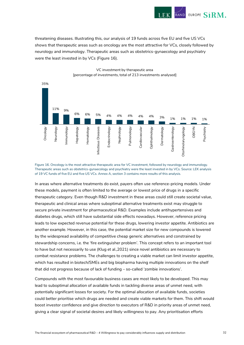

threatening diseases. Illustrating this, our analysis of 19 funds across five EU and five US VCs shows that therapeutic areas such as oncology are the most attractive for VCs, closely followed by neurology and immunology. Therapeutic areas such as obstetrics-gynaecology and psychiatry were the least invested in by VCs [\(Figure 16\)](#page-36-0).



VC investment by therapeutic area [percentage of investments, total of 213 investments analysed]

<span id="page-36-0"></span>Figure 16. Oncology is the most attractive therapeutic area for VC investment, followed by neurology and immunology. Therapeutic areas such as obstetrics-gynaecology and psychiatry were the least invested in by VCs. Source: LEK analysis of 19 VC funds of five EU and five US VCs. Annex A, section 3 contains more results of this analysis.

In areas where alternative treatments do exist, payers often use reference-pricing models. Under these models, payment is often limited to the average or lowest price of drugs in a specific therapeutic category. Even though R&D investment in these areas could still create societal value, therapeutic and clinical areas where suboptimal alternative treatments exist may struggle to secure private investment for pharmaceutical R&D. Examples include antihypertensives and diabetes drugs, which still have substantial side effects nowadays. However, reference pricing leads to low expected revenue potential for these drugs, lowering investor appetite. Antibiotics are another example. However, in this case, the potential market size for new compounds is lowered by the widespread availability of competitive cheap generic alternatives and constrained by stewardship concerns, i.e. the 'fire extinguisher problem'. This concept refers to an important tool to have but not necessarily to use (Klug et al.,2021) since novel antibiotics are necessary to combat resistance problems. The challenges to creating a viable market can limit investor appetite, which has resulted in biotech/SMEs and big biopharma having multiple innovations on the shelf that did not progress because of lack of funding – so-called 'zombie innovations'.

Compounds with the most favourable business cases are most likely to be developed. This may lead to suboptimal allocation of available funds in tackling diverse areas of unmet need, with potentially significant losses for society. For the optimal allocation of available funds, societies could better prioritise which drugs are needed and create viable markets for them. This shift would boost investor confidence and give direction to executors of R&D in priority areas of unmet need, giving a clear signal of societal desires and likely willingness to pay. Any prioritisation efforts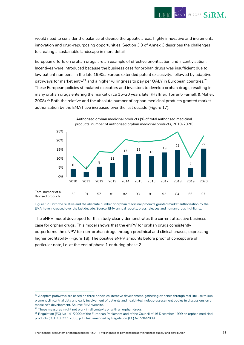would need to consider the balance of diverse therapeutic areas, highly innovative and incremental innovation and drug-repurposing opportunities. Section 3.3 of Annex C describes the challenges to creating a sustainable landscape in more detail.

European efforts on orphan drugs are an example of effective prioritisation and incentivisation. Incentives were introduced because the business case for orphan drugs was insufficient due to low patient numbers. In the late 1990s, Europe extended patent exclusivity, followed by adaptive pathways for market entry<sup>24</sup> and a higher willingness to pay per QALY in European countries.<sup>25</sup> These European policies stimulated executors and investors to develop orphan drugs, resulting in many orphan drugs entering the market circa 15–20 years later (Haffner, Torrent-Farnell, & Maher,  $2008$ ).<sup>26</sup> Both the relative and the absolute number of orphan medicinal products granted market authorisation by the EMA have increased over the last decade [\(Figure 17\)](#page-37-0).



<span id="page-37-0"></span>Figure 17. Both the relative and the absolute number of orphan medicinal products granted market authorisation by the EMA have increased over the last decade. Source: EMA annual reports, press releases and human drugs highlights.

The eNPV model developed for this study clearly demonstrates the current attractive business case for orphan drugs. This model shows that the eNPV for orphan drugs consistently outperforms the eNPV for non-orphan drugs through preclinical and clinical phases, expressing higher profitability [\(Figure 18\)](#page-38-0). The positive eNPV amounts before proof of concept are of particular note, i.e. at the end of phase 1 or during phase 2.

<sup>&</sup>lt;sup>24</sup> Adaptive pathways are based on three principles: iterative development, gathering evidence through real-life use to supplement clinical trial data and early involvement of patients and health-technology-assessment bodies in discussions on a medicine's development. Source: EMA website.

 $25$  These measures might not work in all contexts or with all orphan drugs.

<sup>&</sup>lt;sup>26</sup> Regulation (EC) No 141/2000 of the European Parliament and of the Council of 16 December 1999 on orphan medicinal products (OJ L 18, 22.1.2000, p.1), last amended by Regulation (EC) No 596/2009.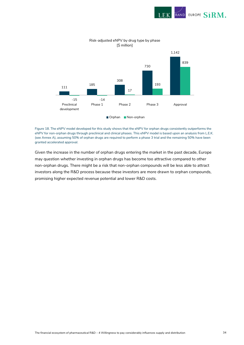



#### Risk-adjusted eNPV by drug type by phase [\$ million]

<span id="page-38-0"></span>Figure 18. The eNPV model developed for this study shows that the eNPV for orphan drugs consistently outperforms the eNPV for non-orphan drugs through preclinical and clinical phases. This eNPV model is based upon an analysis from L.E.K. (see Annex A), assuming 50% of orphan drugs are required to perform a phase 3 trial and the remaining 50% have been granted accelerated approval.

Given the increase in the number of orphan drugs entering the market in the past decade, Europe may question whether investing in orphan drugs has become too attractive compared to other non-orphan drugs. There might be a risk that non-orphan compounds will be less able to attract investors along the R&D process because these investors are more drawn to orphan compounds, promising higher expected revenue potential and lower R&D costs.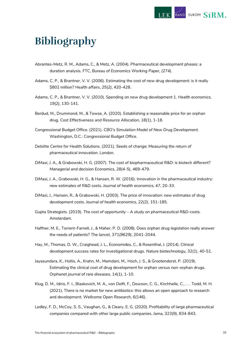

## <span id="page-39-0"></span>**Bibliography**

- Abrantes-Metz, R. M., Adams, C., & Metz, A. (2004). Pharmaceutical development phases: a duration analysis. *FTC, Bureau of Economics Working Paper, (274)*.
- Adams, C. P., & Brantner, V. V. (2006). Estimating the cost of new drug development: is it really \$802 million? *Health affairs, 25(2)*, 420-428.
- Adams, C. P., & Brantner, V. V. (2010). Spending on new drug development 1. *Health economics, 19(2)*, 130-141.
- Berdud, M., Drummond, M., & Towse, A. (2020). Establishing a reasonable price for an orphan drug. *Cost Effectiveness and Resource Allocation, 18(1)*, 1-18.
- Congressional Budget Office. (2021). *CBO's Simulation Model of New Drug Development.* Washington, D.C.: Congressional Budget Office.
- Deloitte Centre for Health Solutions. (2021). *Seeds of change: Measuring the return of pharmaceutical innovation.* London.
- DiMasi, J. A., & Grabowski, H. G. (2007). The cost of biopharmaceutical R&D: is biotech different? *Managerial and decision Economics, 28(4‐5)*, 469-479.
- DiMasi, J. A., Grabowski, H. G., & Hansen, R. W. (2016). Innovation in the pharmaceutical industry: new estimates of R&D costs. *Journal of health economics, 47*, 20-33.
- DiMasi, J., Hansen, R., & Grabowski, H. (2003). The price of innovation: new estimates of drug development costs. *Journal of health economics, 22(2)*, 151-185.
- Gupta Strategists. (2019). *The cost of opportunity – A study on pharmaceutical R&D-costs.* Amsterdam.
- Haffner, M. E., Torrent-Farnell, J., & Maher, P. D. (2008). Does orphan drug legislation really answer the needs of patients? *The lancet, 371(9629)*, 2041-2044.
- Hay, M., Thomas, D. W., Craighead, J. L., Economides, C., & Rosenthal, J. (2014). Clinical development success rates for investigational drugs. *Nature biotechnology, 32(1)*, 40-51.
- Jayasundara, K., Hollis, A., Krahn, M., Mamdani, M., Hoch, J. S., & Grootendorst, P. (2019). Estimating the clinical cost of drug development for orphan versus non-orphan drugs. *Orphanet journal of rare diseases, 14(1)*, 1-10.
- Klug, D. M., Idiris, F. I., Blaskovich, M. A., von Delft, F., Dowson, C. G., Kirchhelle, C., . . . Todd, M. H. (2021). There is no market for new antibiotics: this allows an open approach to research and development. *Wellcome Open Research, 6(146)*.
- Ledley, F. D., McCoy, S. S., Vaughan, G., & Cleary, E. G. (2020). Profitability of large pharmaceutical companies compared with other large public companies. *Jama, 323(9)*, 834-843.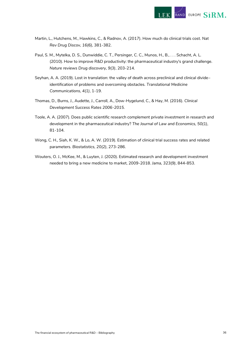

- Martin, L., Hutchens, M., Hawkins, C., & Radnov, A. (2017). How much do clinical trials cost. *Nat Rev Drug Discov, 16(6)*, 381-382.
- Paul, S. M., Mytelka, D. S., Dunwiddie, C. T., Persinger, C. C., Munos, H., B., . . . Schacht, A. L. (2010). How to improve R&D productivity: the pharmaceutical industry's grand challenge. *Nature reviews Drug discovery, 9(3)*, 203-214.
- Seyhan, A. A. (2019). Lost in translation: the valley of death across preclinical and clinical divide– identification of problems and overcoming obstacles. *Translational Medicine Communications, 4(1)*, 1-19.
- Thomas, D., Burns, J., Audette, J., Carroll, A., Dow-Hygelund, C., & Hay, M. (2016). *Clinical Development Success Rates 2006-2015.*
- Toole, A. A. (2007). Does public scientific research complement private investment in research and development in the pharmaceutical industry? *The Journal of Law and Economics, 50(1)*, 81-104.
- Wong, C. H., Siah, K. W., & Lo, A. W. (2019). Estimation of clinical trial success rates and related parameters. *Biostatistics, 20(2)*, 273-286.
- Wouters, O. J., McKee, M., & Luyten, J. (2020). Estimated research and development investment needed to bring a new medicine to market, 2009-2018. *Jama, 323(9)*, 844-853.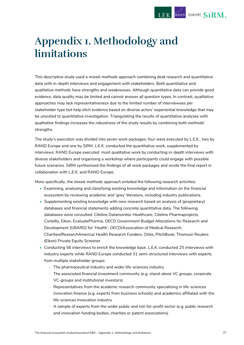

## <span id="page-41-0"></span>**Appendix 1. Methodology and limitations**

This descriptive study used a mixed-methods approach combining desk research and quantitative data with in-depth interviews and engagement with stakeholders. Both quantitative and qualitative methods have strengths and weaknesses. Although quantitative data can provide good evidence, data quality may be limited and cannot answer all question types. In contrast, qualitative approaches may lack representativeness due to the limited number of interviewees per stakeholder type but help elicit evidence based on diverse actors' experiential knowledge that may be unsuited to quantitative investigation. Triangulating the results of quantitative analyses with qualitative findings increases the robustness of the study results by combining both methods' strengths.

The study's execution was divided into seven work packages: four were executed by L.E.K., two by RAND Europe and one by SiRM. L.E.K. conducted the quantitative work, supplemented by interviews. RAND Europe executed most qualitative work by conducting in-depth interviews with diverse stakeholders and organising a workshop where participants could engage with possible future scenarios. SiRM synthesised the findings of all work packages and wrote the final report in collaboration with L.E.K. and RAND Europe.

More specifically, the mixed-methods approach entailed the following research activities:

- Examining, analysing and classifying existing knowledge and information on the financial ecosystem by reviewing academic and 'grey' literature, including industry publications.
- Supplementing existing knowledge with new research based on analysis of (proprietary) databases and financial statements adding concrete quantitative data. The following databases were consulted: Citeline Datamonitor Healthcare, Citeline Pharmaprojects, Cortellis, Eikon, EvaluatePharma, OECD Government Budget Allocations for Research and Development (GBARD) for 'Health', OECD/Association of Medical Research, Charities/ResearchAmerica/ Health Research Funders, Orbis, PitchBook, Thomson Reuters (Eikon) Private Equity Screener.
- Conducting 56 interviews to enrich the knowledge base. L.E.K. conducted 25 interviews with industry experts while RAND Europe conducted 31 semi-structured interviews with experts from multiple stakeholder groups:
	- The pharmaceutical industry and wider life-sciences industry
	- The associated financial investment community (e.g. stand-alone VC groups, corporate VC-groups and institutional investors)
	- Representatives from the academic research community specialising in life-sciences innovation finance (e.g. experts from business schools) and academics affiliated with the life-sciences innovation industry
	- A sample of experts from the wider public and not-for-profit sector (e.g. public research and innovation funding bodies, charities or patent associations)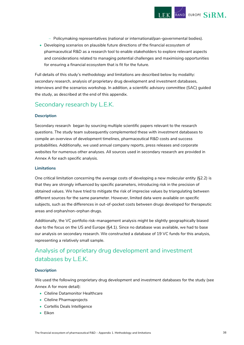– Policymaking representatives (national or international/pan-governmental bodies).

RAND EUROPE  $\mathbf{S}$ **IRM.** 

• Developing scenarios on plausible future directions of the financial ecosystem of pharmaceutical R&D as a research tool to enable stakeholders to explore relevant aspects and considerations related to managing potential challenges and maximising opportunities for ensuring a financial ecosystem that is fit for the future.

Full details of this study's methodology and limitations are described below by modality: secondary research, analysis of proprietary drug development and investment databases, interviews and the scenarios workshop. In addition, a scientific advisory committee (SAC) guided the study, as described at the end of this appendix.

### Secondary research by L.E.K.

### **Description**

Secondary research began by sourcing multiple scientific papers relevant to the research questions. The study team subsequently complemented these with investment databases to compile an overview of development timelines, pharmaceutical R&D costs and success probabilities. Additionally, we used annual company reports, press releases and corporate websites for numerous other analyses. All sources used in secondary research are provided in Annex A for each specific analysis.

#### **Limitations**

One critical limitation concerning the average costs of developing a new molecular entity (§2.2) is that they are strongly influenced by specific parameters, introducing risk in the precision of obtained values. We have tried to mitigate the risk of imprecise values by triangulating between different sources for the same parameter. However, limited data were available on specific subjects, such as the differences in out-of-pocket costs between drugs developed for therapeutic areas and orphan/non-orphan drugs.

Additionally, the VC portfolio risk-management analysis might be slightly geographically biased due to the focus on the US and Europe (§4.1). Since no database was available, we had to base our analysis on secondary research. We constructed a database of 19 VC funds for this analysis, representing a relatively small sample.

## Analysis of proprietary drug development and investment databases by L.E.K.

#### **Description**

We used the following proprietary drug development and investment databases for the study (see Annex A for more detail):

- Citeline Datamonitor Healthcare
- Citeline Pharmaprojects
- Cortellis Deals Intelligence
- Eikon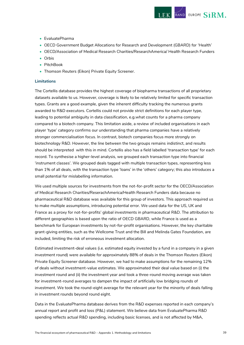

- EvaluatePharma
- OECD Government Budget Allocations for Research and Development (GBARD) for 'Health'
- OECD/Association of Medical Research Charities/ResearchAmerica/ Health Research Funders
- Orbis
- PitchBook
- Thomson Reuters (Eikon) Private Equity Screener.

#### **Limitations**

The Cortellis database provides the highest coverage of biopharma transactions of all proprietary datasets available to us. However, coverage is likely to be relatively limited for specific transaction types. Grants are a good example, given the inherent difficulty tracking the numerous grants awarded to R&D executors. Cortellis could not provide strict definitions for each player type, leading to potential ambiguity in data classification, e.g.what counts for a pharma company compared to a biotech company. This limitation aside, a review of included organisations in each player 'type' category confirms our understanding that pharma companies have a relatively stronger commercialisation focus. In contrast, biotech companies focus more strongly on biotechnology R&D. However, the line between the two groups remains indistinct, and results should be interpreted with this in mind. Cortellis also has a field labelled 'transaction type' for each record. To synthesise a higher-level analysis, we grouped each transaction type into financial 'instrument classes'. We grouped deals tagged with multiple transaction types, representing less than 1% of all deals, with the transaction type 'loans' in the 'others' category; this also introduces a small potential for mislabelling information.

We used multiple sources for investments from the not-for-profit sector for the OECD/Association of Medical Research Charities/ReserachAmerica/Health Research Funders data because no pharmaceutical R&D database was available for this group of investors. This approach required us to make multiple assumptions, introducing potential error. We used data for the US, UK and France as a proxy for not-for-profits' global investments in pharmaceutical R&D. The attribution to different geographies is based upon the ratio of OECD GBARD, while France is used as a benchmark for European investments by not-for-profit organisations. However, the key charitable grant-giving entities, such as the Wellcome Trust and the Bill and Melinda Gates Foundation, are included, limiting the risk of erroneous investment allocation.

Estimated investment-deal values (i.e. estimated equity invested by a fund in a company in a given investment round) were available for approximately 88% of deals in the Thomson Reuters (Eikon) Private Equity Screener database. However, we had to make assumptions for the remaining 12% of deals without investment-value estimates. We approximated their deal value based on (i) the investment round and (ii) the investment year and took a three-round moving average was taken for investment-round averages to dampen the impact of artificially low bridging rounds of investment. We took the round-eight average for the relevant year for the minority of deals falling in investment rounds beyond round eight.

Data in the EvaluatePharma database derives from the R&D expenses reported in each company's annual report and profit and loss (P&L) statement. We believe data from EvaluatePharma R&D spending reflects actual R&D spending, including basic licenses, and is not affected by M&A,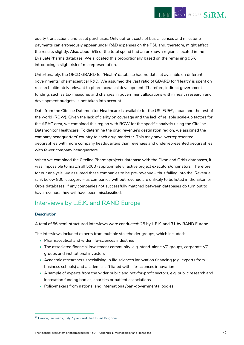

equity transactions and asset purchases. Only upfront costs of basic licenses and milestone payments can erroneously appear under R&D expenses on the P&L and, therefore, might affect the results slightly. Also, about 5% of the total spend had an unknown region allocated in the EvaluatePharma database. We allocated this proportionally based on the remaining 95%, introducing a slight risk of misrepresentation.

Unfortunately, the OECD GBARD for 'Health' database had no dataset available on different governments' pharmaceutical R&D. We assumed the vast ratio of GBARD for 'Health' is spent on research ultimately relevant to pharmaceutical development. Therefore, indirect government funding, such as tax measures and changes in government allocations within health research and development budgets, is not taken into account.

Data from the Citeline Datamonitor Healthcare is available for the US, EU5<sup>27</sup>, Japan and the rest of the world (ROW). Given the lack of clarity on coverage and the lack of reliable scale-up factors for the APAC area, we combined this region with ROW for the specific analysis using the Citeline Datamonitor Healthcare. To determine the drug revenue's destination region, we assigned the company headquarters' country to each drug marketer. This may have overrepresented geographies with more company headquarters than revenues and underrepresented geographies with fewer company headquarters.

When we combined the Citeline Pharmaprojects database with the Eikon and Orbis databases, it was impossible to match all 5000 (approximately) active project executors/originators. Therefore, for our analysis, we assumed these companies to be pre-revenue – thus falling into the 'Revenue rank below 800' category – as companies without revenue are unlikely to be listed in the Eikon or Orbis databases. If any companies not successfully matched between databases do turn out to have revenue, they will have been misclassified.

### Interviews by L.E.K. and RAND Europe

### **Description**

A total of 56 semi-structured interviews were conducted: 25 by L.E.K. and 31 by RAND Europe.

The interviews included experts from multiple stakeholder groups, which included:

- Pharmaceutical and wider life-sciences industries
- The associated financial investment community, e.g. stand-alone VC groups, corporate VC groups and institutional investors
- Academic researchers specialising in life sciences innovation financing (e.g. experts from business schools) and academics affiliated with life-sciences innovation
- A sample of experts from the wider public and not-for-profit sectors, e.g. public research and innovation funding bodies, charities or patient associations
- Policymakers from national and international/pan-governmental bodies.

<sup>&</sup>lt;sup>27</sup> France, Germany, Italy, Spain and the United Kingdom.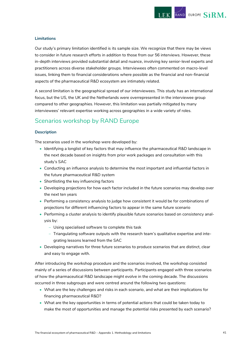

#### **Limitations**

Our study's primary limitation identified is its sample size. We recognize that there may be views to consider in future research efforts in addition to those from our 56 interviews. However, these in-depth interviews provided substantial detail and nuance, involving key senior-level experts and practitioners across diverse stakeholder groups. Interviewees often commented on macro-level issues, linking them to financial considerations where possible as the financial and non-financial aspects of the pharmaceutical R&D ecosystem are intimately related.

A second limitation is the geographical spread of our interviewees. This study has an international focus, but the US, the UK and the Netherlands were overrepresented in the interviewee group compared to other geographies. However, this limitation was partially mitigated by many interviewees' relevant expertise working across geographies in a wide variety of roles.

### Scenarios workshop by RAND Europe

#### **Description**

The scenarios used in the workshop were developed by:

- Identifying a longlist of key factors that may influence the pharmaceutical R&D landscape in the next decade based on insights from prior work packages and consultation with this study's SAC
- Conducting an influence analysis to determine the most important and influential factors in the future pharmaceutical R&D system
- Shortlisting the key influencing factors
- Developing projections for how each factor included in the future scenarios may develop over the next ten years
- Performing a consistency analysis to judge how consistent it would be for combinations of projections for different influencing factors to appear in the same future scenario
- Performing a cluster analysis to identify plausible future scenarios based on consistency analysis by:
	- Using specialised software to complete this task
	- Triangulating software outputs with the research team's qualitative expertise and integrating lessons learned from the SAC
- Developing narratives for three future scenarios to produce scenarios that are distinct, clear and easy to engage with.

After introducing the workshop procedure and the scenarios involved, the workshop consisted mainly of a series of discussions between participants. Participants engaged with three scenarios of how the pharmaceutical R&D landscape might evolve in the coming decade. The discussions occurred in three subgroups and were centred around the following two questions:

- What are the key challenges and risks in each scenario, and what are their implications for financing pharmaceutical R&D?
- What are the key opportunities in terms of potential actions that could be taken today to make the most of opportunities and manage the potential risks presented by each scenario?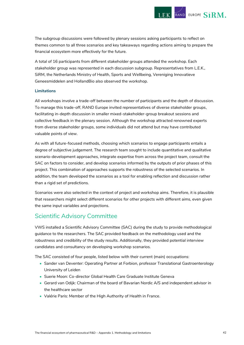

The subgroup discussions were followed by plenary sessions asking participants to reflect on themes common to all three scenarios and key takeaways regarding actions aiming to prepare the financial ecosystem more effectively for the future.

A total of 16 participants from different stakeholder groups attended the workshop. Each stakeholder group was represented in each discussion subgroup. Representatives from L.E.K., SiRM, the Netherlands Ministry of Health, Sports and Wellbeing, Vereniging Innovatieve Geneesmiddelen and HollandBio also observed the workshop.

#### **Limitations**

All workshops involve a trade-off between the number of participants and the depth of discussion. To manage this trade-off, RAND Europe invited representatives of diverse stakeholder groups, facilitating in-depth discussion in smaller mixed-stakeholder-group breakout sessions and collective feedback in the plenary session. Although the workshop attracted renowned experts from diverse stakeholder groups, some individuals did not attend but may have contributed valuable points of view.

As with all future-focused methods, choosing which scenarios to engage participants entails a degree of subjective judgement. The research team sought to include quantitative and qualitative scenario-development approaches, integrate expertise from across the project team, consult the SAC on factors to consider, and develop scenarios informed by the outputs of prior phases of this project. This combination of approaches supports the robustness of the selected scenarios. In addition, the team developed the scenarios as a tool for enabling reflection and discussion rather than a rigid set of predictions.

Scenarios were also selected in the context of project and workshop aims. Therefore, it is plausible that researchers might select different scenarios for other projects with different aims, even given the same input variables and projections.

### Scientific Advisory Committee

VWS installed a Scientific Advisory Committee (SAC) during the study to provide methodological guidance to the researchers. The SAC provided feedback on the methodology used and the robustness and credibility of the study results. Additionally, they provided potential interview candidates and consultancy on developing workshop scenarios.

The SAC consisted of four people, listed below with their current (main) occupations:

- Sander van Deventer: Operating Partner at Forbion, professor Translational Gastroenterology University of Leiden
- Suerie Moon: Co-director Global Health Care Graduate Institute Geneva
- Gerard van Odijk: Chairman of the board of Bavarian Nordic A/S and independent advisor in the healthcare sector
- Valérie Paris: Member of the High Authority of Health in France.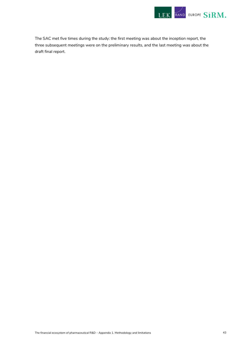

The SAC met five times during the study: the first meeting was about the inception report, the three subsequent meetings were on the preliminary results, and the last meeting was about the draft final report.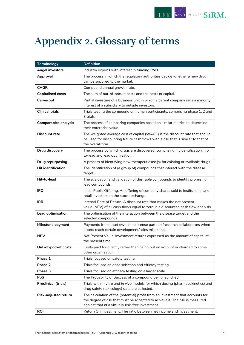

## <span id="page-48-0"></span>**Appendix 2. Glossary of terms**

| <b>Terminology</b>          | <b>Definition</b>                                                                                                                                                                                                   |
|-----------------------------|---------------------------------------------------------------------------------------------------------------------------------------------------------------------------------------------------------------------|
| <b>Angel investors</b>      | Industry experts with interest in funding R&D.                                                                                                                                                                      |
| Approval                    | The process in which the regulatory authorities decide whether a new drug<br>can be supplied to the market.                                                                                                         |
| <b>CAGR</b>                 | Compound annual growth rate.                                                                                                                                                                                        |
| <b>Capitalised costs</b>    | The sum of out-of-pocket costs and the costs of capital.                                                                                                                                                            |
| Carve-out                   | Partial divesture of a business unit in which a parent company sells a minority<br>interest of a subsidiary to outside investors.                                                                                   |
| <b>Clinical trials</b>      | Trials testing the compound on human participants, comprising phase 1, 2 and<br>3 trials.                                                                                                                           |
| <b>Comparables analysis</b> | The process of comparing companies based on similar metrics to determine<br>their enterprise value.                                                                                                                 |
| Discount rate               | The weighted average cost of capital (WACC) is the discount rate that should<br>be used for discounting future cash flows with a risk that is similar to that of<br>the overall firm.                               |
| Drug discovery              | The process by which drugs are discovered, comprising hit identification, hit-<br>to-lead and lead optimisation.                                                                                                    |
| <b>Drug repurposing</b>     | A process of identifying new therapeutic use(s) for existing or available drugs.                                                                                                                                    |
| <b>Hit identification</b>   | The identification of (a group of) compounds that interact with the disease<br>target.                                                                                                                              |
| Hit-to-lead                 | The evaluation and validation of desirable compounds to identify promising<br>lead compounds.                                                                                                                       |
| <b>IPO</b>                  | Initial Public Offering: An offering of company shares sold to institutional and<br>retail investors on the stock exchange.                                                                                         |
| <b>IRR</b>                  | Internal Rate of Return: A discount rate that makes the net present<br>value (NPV) of all cash flows equal to zero in a discounted cash flow analysis.                                                              |
| Lead optimisation           | The optimisation of the interaction between the disease target and the<br>selected compounds.                                                                                                                       |
| Milestone payment           | Payments from asset owners to license partners/research collaborators when<br>assets reach certain development/sales milestones.                                                                                    |
| <b>NPV</b>                  | Net Present Value: Investment returns expressed as the amount of capital at<br>the present time.                                                                                                                    |
| Out-of-pocket costs         | Costs paid for directly rather than being put on account or charged to some<br>other organisation.                                                                                                                  |
| Phase 1                     | Trials focused on safety testing.                                                                                                                                                                                   |
| Phase 2                     | Trials focused on dose selection and efficacy testing.                                                                                                                                                              |
| Phase 3                     | Trials focused on efficacy testing on a larger scale.                                                                                                                                                               |
| PoS                         | The Probability of Success of a compound being launched.                                                                                                                                                            |
| <b>Preclinical (trials)</b> | Trials with in vitro and in vivo models for which dosing (pharmacokinetics) and<br>drug safety (toxicology) data are collected.                                                                                     |
| Risk-adjusted return        | The calculation of the (potential) profit from an investment that accounts for<br>the degree of risk that must be accepted to achieve it. The risk is measured<br>against that of a virtually risk-free investment. |
| <b>ROI</b>                  | Return On Investment: The ratio between net income and investment.                                                                                                                                                  |